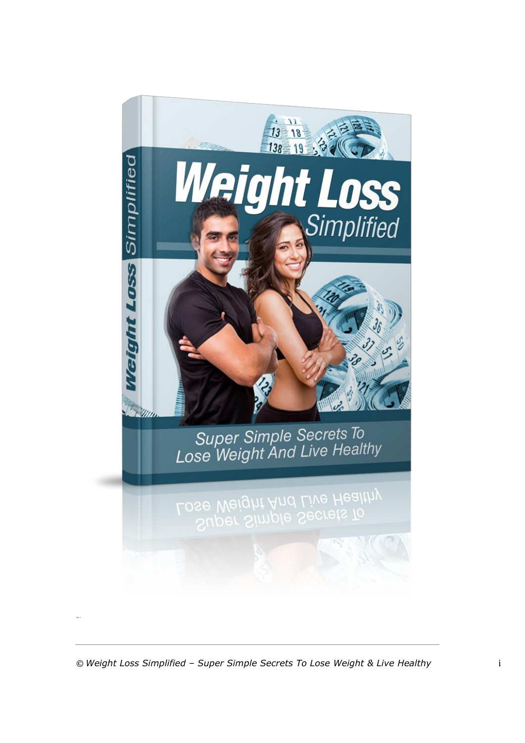

The 3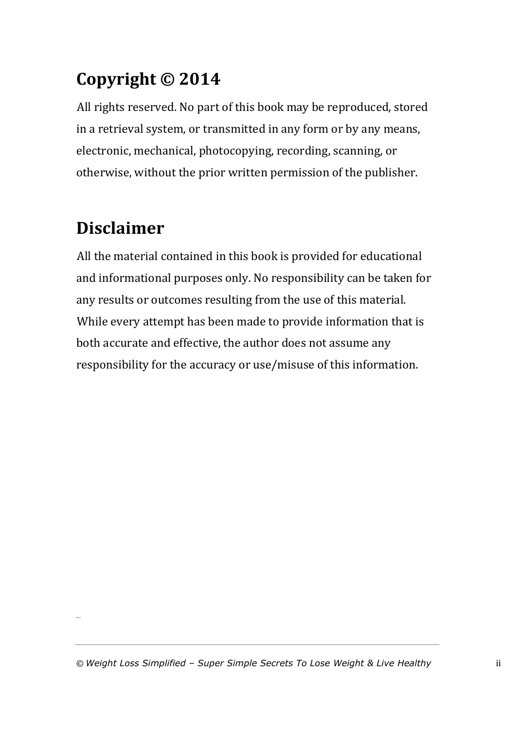### **Copyright © 2014**

All rights reserved. No part of this book may be reproduced, stored in a retrieval system, or transmitted in any form or by any means, electronic, mechanical, photocopying, recording, scanning, or otherwise, without the prior written permission of the publisher.

### **Disclaimer**

The 3

All the material contained in this book is provided for educational and informational purposes only. No responsibility can be taken for any results or outcomes resulting from the use of this material. While every attempt has been made to provide information that is both accurate and effective, the author does not assume any responsibility for the accuracy or use/misuse of this information.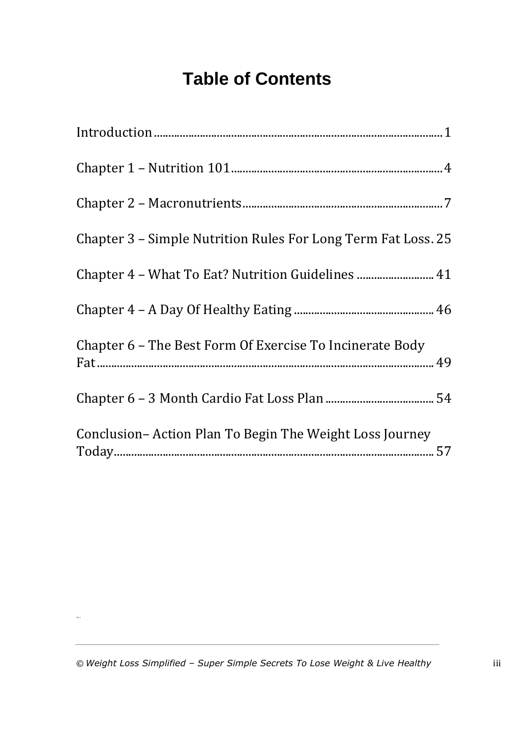### **Table of Contents**

| Chapter 3 – Simple Nutrition Rules For Long Term Fat Loss. 25 |
|---------------------------------------------------------------|
| Chapter 4 - What To Eat? Nutrition Guidelines  41             |
|                                                               |
| Chapter 6 – The Best Form Of Exercise To Incinerate Body      |
|                                                               |
| Conclusion-Action Plan To Begin The Weight Loss Journey       |

The 3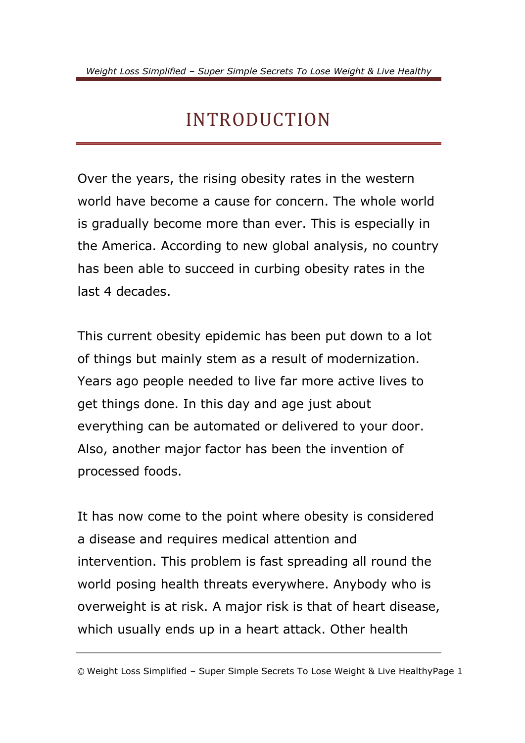### INTRODUCTION

<span id="page-3-0"></span>Over the years, the rising obesity rates in the western world have become a cause for concern. The whole world is gradually become more than ever. This is especially in the America. According to new global analysis, no country has been able to succeed in curbing obesity rates in the last 4 decades.

This current obesity epidemic has been put down to a lot of things but mainly stem as a result of modernization. Years ago people needed to live far more active lives to get things done. In this day and age just about everything can be automated or delivered to your door. Also, another major factor has been the invention of processed foods.

It has now come to the point where obesity is considered a disease and requires medical attention and intervention. This problem is fast spreading all round the world posing health threats everywhere. Anybody who is overweight is at risk. A major risk is that of heart disease, which usually ends up in a heart attack. Other health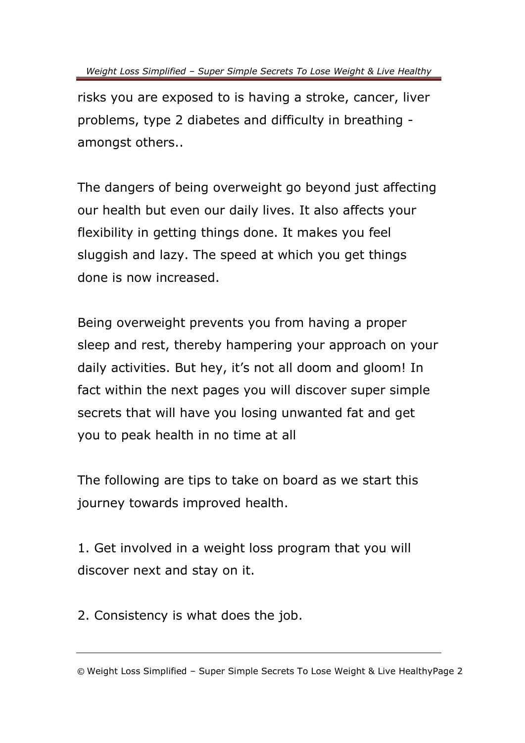risks you are exposed to is having a stroke, cancer, liver problems, type 2 diabetes and difficulty in breathing amongst others..

The dangers of being overweight go beyond just affecting our health but even our daily lives. It also affects your flexibility in getting things done. It makes you feel sluggish and lazy. The speed at which you get things done is now increased.

Being overweight prevents you from having a proper sleep and rest, thereby hampering your approach on your daily activities. But hey, it's not all doom and gloom! In fact within the next pages you will discover super simple secrets that will have you losing unwanted fat and get you to peak health in no time at all

The following are tips to take on board as we start this journey towards improved health.

1. Get involved in a weight loss program that you will discover next and stay on it.

2. Consistency is what does the job.

<sup>©</sup> Weight Loss Simplified – Super Simple Secrets To Lose Weight & Live HealthyPage 2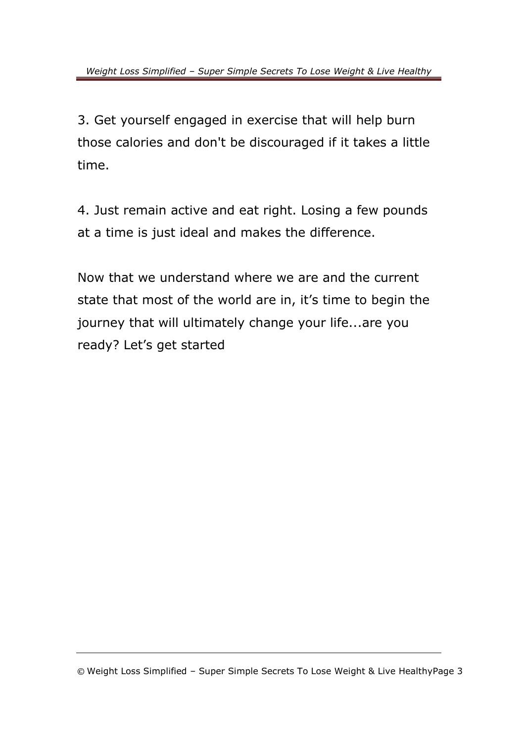3. Get yourself engaged in exercise that will help burn those calories and don't be discouraged if it takes a little time.

4. Just remain active and eat right. Losing a few pounds at a time is just ideal and makes the difference.

Now that we understand where we are and the current state that most of the world are in, it's time to begin the journey that will ultimately change your life...are you ready? Let's get started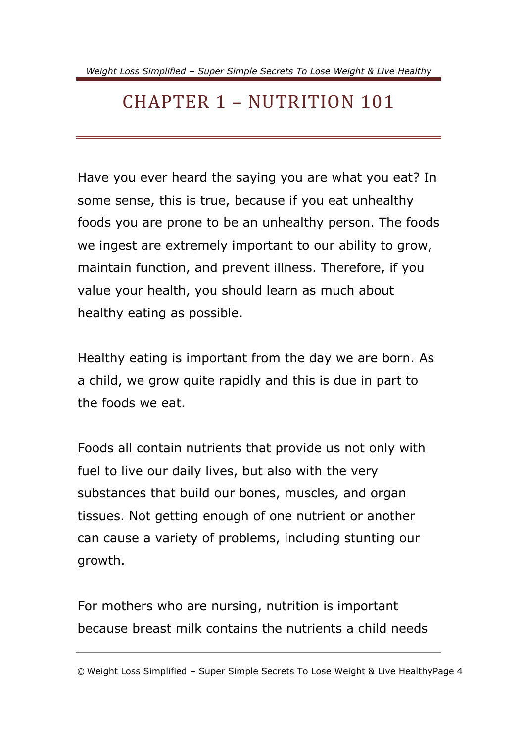### <span id="page-6-0"></span>CHAPTER 1 – NUTRITION 101

Have you ever heard the saying you are what you eat? In some sense, this is true, because if you eat unhealthy foods you are prone to be an unhealthy person. The foods we ingest are extremely important to our ability to grow, maintain function, and prevent illness. Therefore, if you value your health, you should learn as much about healthy eating as possible.

Healthy eating is important from the day we are born. As a child, we grow quite rapidly and this is due in part to the foods we eat.

Foods all contain nutrients that provide us not only with fuel to live our daily lives, but also with the very substances that build our bones, muscles, and organ tissues. Not getting enough of one nutrient or another can cause a variety of problems, including stunting our growth.

For mothers who are nursing, nutrition is important because breast milk contains the nutrients a child needs

<sup>©</sup> Weight Loss Simplified – Super Simple Secrets To Lose Weight & Live HealthyPage 4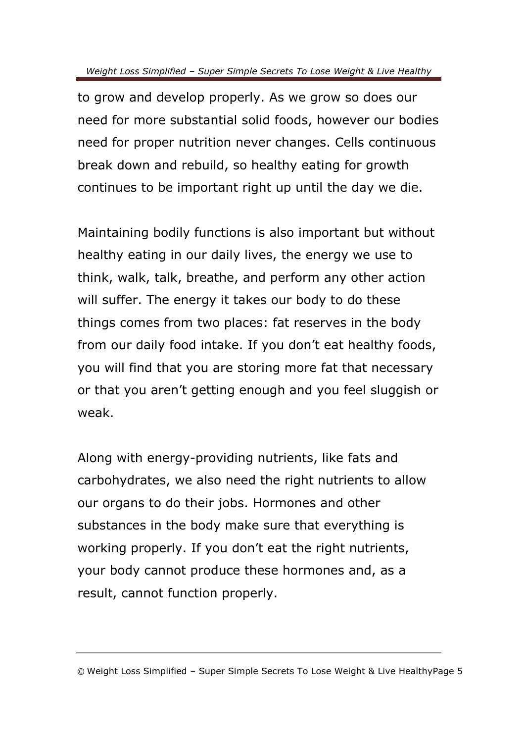to grow and develop properly. As we grow so does our need for more substantial solid foods, however our bodies need for proper nutrition never changes. Cells continuous break down and rebuild, so healthy eating for growth continues to be important right up until the day we die.

Maintaining bodily functions is also important but without healthy eating in our daily lives, the energy we use to think, walk, talk, breathe, and perform any other action will suffer. The energy it takes our body to do these things comes from two places: fat reserves in the body from our daily food intake. If you don't eat healthy foods, you will find that you are storing more fat that necessary or that you aren't getting enough and you feel sluggish or weak.

Along with energy-providing nutrients, like fats and carbohydrates, we also need the right nutrients to allow our organs to do their jobs. Hormones and other substances in the body make sure that everything is working properly. If you don't eat the right nutrients, your body cannot produce these hormones and, as a result, cannot function properly.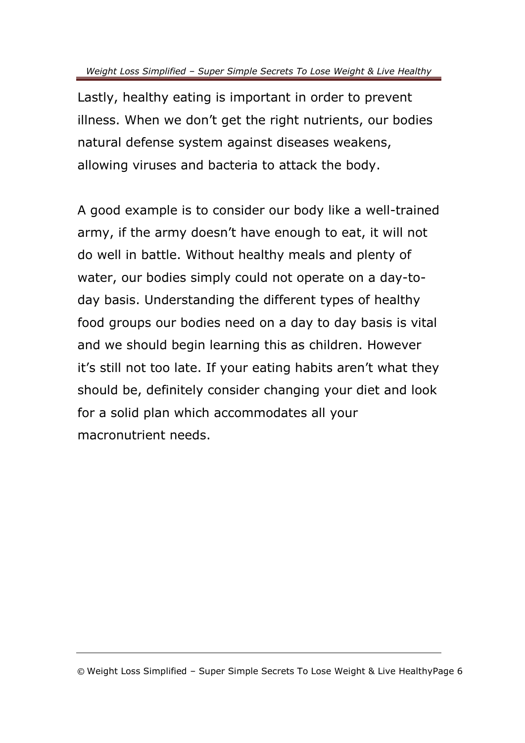Lastly, healthy eating is important in order to prevent illness. When we don't get the right nutrients, our bodies natural defense system against diseases weakens, allowing viruses and bacteria to attack the body.

A good example is to consider our body like a well-trained army, if the army doesn't have enough to eat, it will not do well in battle. Without healthy meals and plenty of water, our bodies simply could not operate on a day-today basis. Understanding the different types of healthy food groups our bodies need on a day to day basis is vital and we should begin learning this as children. However it's still not too late. If your eating habits aren't what they should be, definitely consider changing your diet and look for a solid plan which accommodates all your macronutrient needs.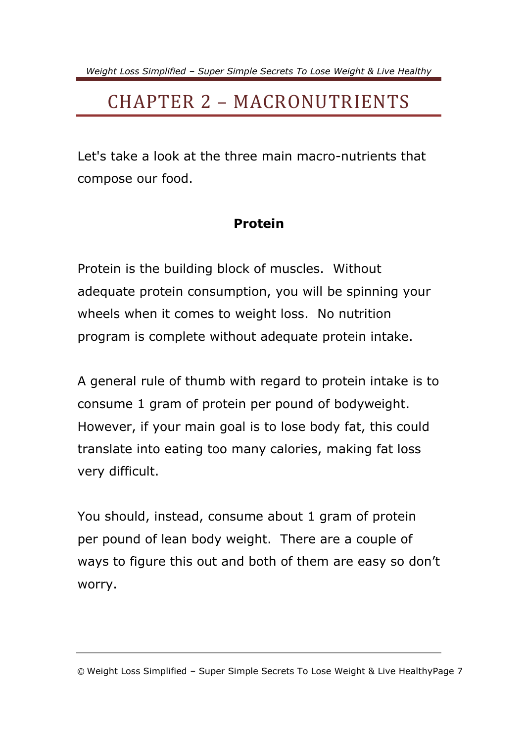### <span id="page-9-0"></span>CHAPTER 2 – MACRONUTRIENTS

Let's take a look at the three main macro-nutrients that compose our food.

#### **Protein**

Protein is the building block of muscles. Without adequate protein consumption, you will be spinning your wheels when it comes to weight loss. No nutrition program is complete without adequate protein intake.

A general rule of thumb with regard to protein intake is to consume 1 gram of protein per pound of bodyweight. However, if your main goal is to lose body fat, this could translate into eating too many calories, making fat loss very difficult.

You should, instead, consume about 1 gram of protein per pound of lean body weight. There are a couple of ways to figure this out and both of them are easy so don't worry.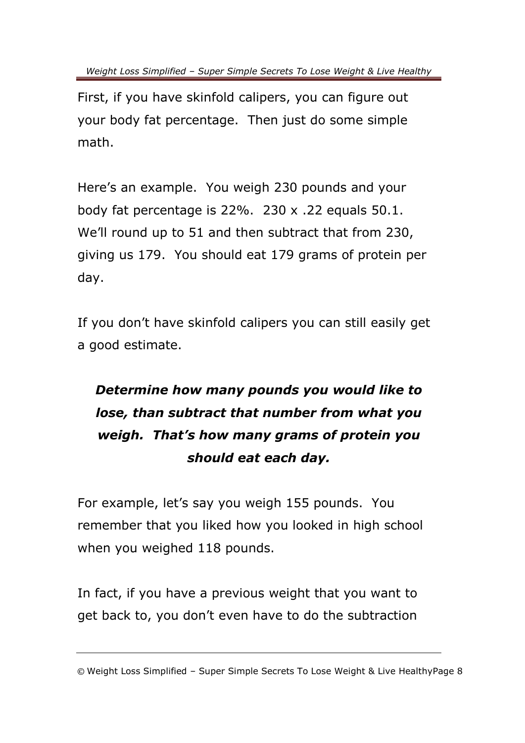First, if you have skinfold calipers, you can figure out your body fat percentage. Then just do some simple math.

Here's an example. You weigh 230 pounds and your body fat percentage is 22%. 230 x .22 equals 50.1. We'll round up to 51 and then subtract that from 230, giving us 179. You should eat 179 grams of protein per day.

If you don't have skinfold calipers you can still easily get a good estimate.

### *Determine how many pounds you would like to lose, than subtract that number from what you weigh. That's how many grams of protein you should eat each day.*

For example, let's say you weigh 155 pounds. You remember that you liked how you looked in high school when you weighed 118 pounds.

In fact, if you have a previous weight that you want to get back to, you don't even have to do the subtraction

<sup>©</sup> Weight Loss Simplified – Super Simple Secrets To Lose Weight & Live HealthyPage 8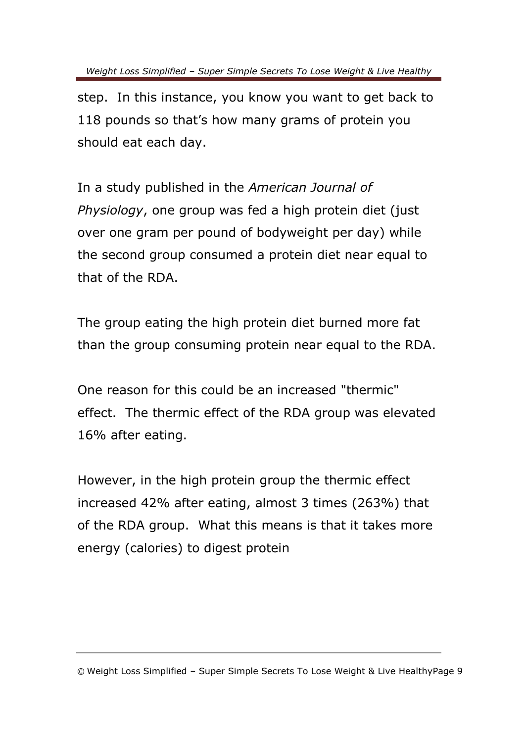step. In this instance, you know you want to get back to 118 pounds so that's how many grams of protein you should eat each day.

In a study published in the *American Journal of Physiology*, one group was fed a high protein diet (just over one gram per pound of bodyweight per day) while the second group consumed a protein diet near equal to that of the RDA.

The group eating the high protein diet burned more fat than the group consuming protein near equal to the RDA.

One reason for this could be an increased "thermic" effect. The thermic effect of the RDA group was elevated 16% after eating.

However, in the high protein group the thermic effect increased 42% after eating, almost 3 times (263%) that of the RDA group. What this means is that it takes more energy (calories) to digest protein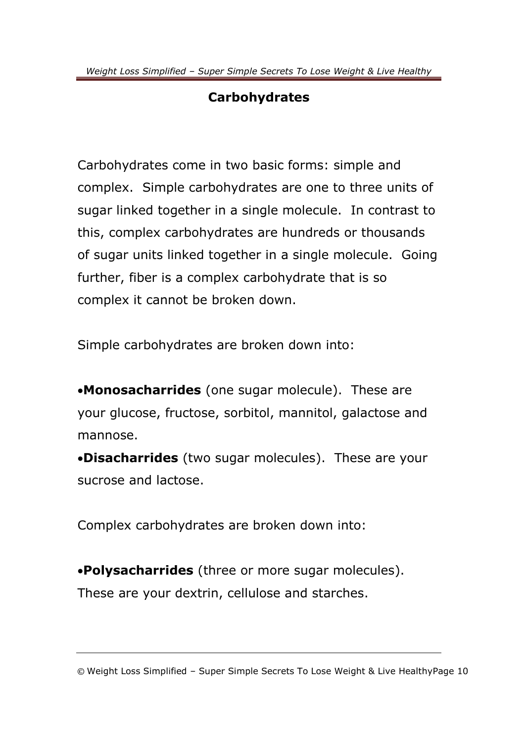#### **Carbohydrates**

Carbohydrates come in two basic forms: simple and complex. Simple carbohydrates are one to three units of sugar linked together in a single molecule. In contrast to this, complex carbohydrates are hundreds or thousands of sugar units linked together in a single molecule. Going further, fiber is a complex carbohydrate that is so complex it cannot be broken down.

Simple carbohydrates are broken down into:

**Monosacharrides** (one sugar molecule). These are your glucose, fructose, sorbitol, mannitol, galactose and mannose.

**Disacharrides** (two sugar molecules). These are your sucrose and lactose.

Complex carbohydrates are broken down into:

**Polysacharrides** (three or more sugar molecules). These are your dextrin, cellulose and starches.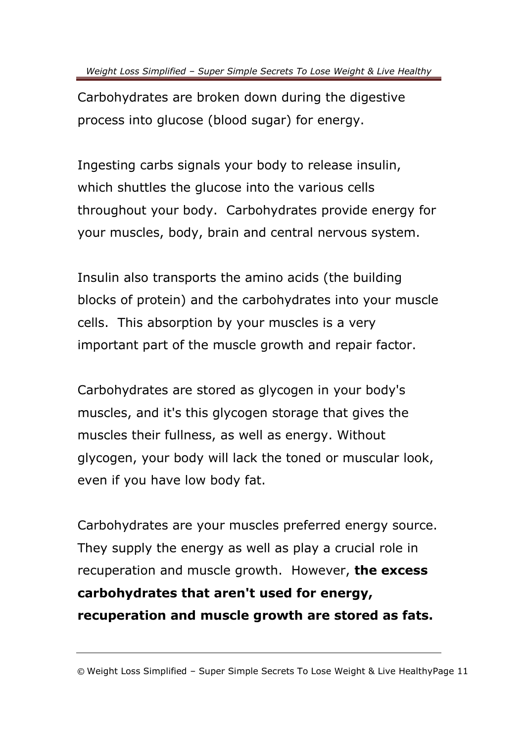Carbohydrates are broken down during the digestive process into glucose (blood sugar) for energy.

Ingesting carbs signals your body to release insulin, which shuttles the glucose into the various cells throughout your body. Carbohydrates provide energy for your muscles, body, brain and central nervous system.

Insulin also transports the amino acids (the building blocks of protein) and the carbohydrates into your muscle cells. This absorption by your muscles is a very important part of the muscle growth and repair factor.

Carbohydrates are stored as glycogen in your body's muscles, and it's this glycogen storage that gives the muscles their fullness, as well as energy. Without glycogen, your body will lack the toned or muscular look, even if you have low body fat.

Carbohydrates are your muscles preferred energy source. They supply the energy as well as play a crucial role in recuperation and muscle growth. However, **the excess carbohydrates that aren't used for energy, recuperation and muscle growth are stored as fats.**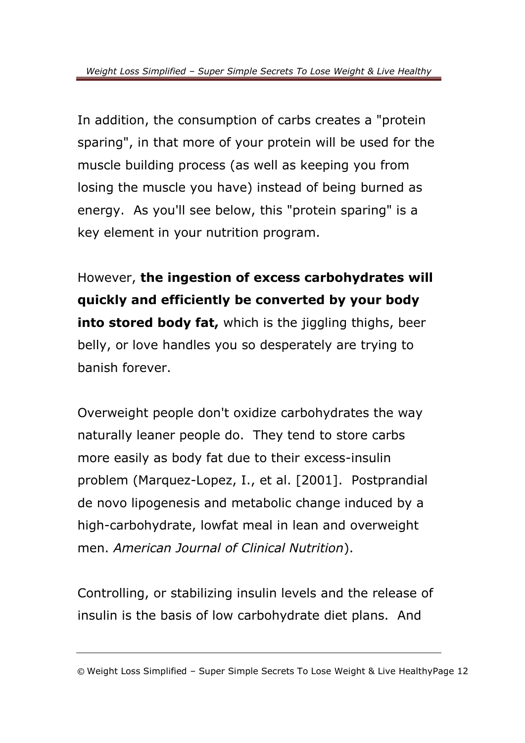In addition, the consumption of carbs creates a "protein sparing", in that more of your protein will be used for the muscle building process (as well as keeping you from losing the muscle you have) instead of being burned as energy. As you'll see below, this "protein sparing" is a key element in your nutrition program.

However, **the ingestion of excess carbohydrates will quickly and efficiently be converted by your body into stored body fat,** which is the jiggling thighs, beer belly, or love handles you so desperately are trying to banish forever.

Overweight people don't oxidize carbohydrates the way naturally leaner people do. They tend to store carbs more easily as body fat due to their excess-insulin problem (Marquez-Lopez, I., et al. [2001]. Postprandial de novo lipogenesis and metabolic change induced by a high-carbohydrate, lowfat meal in lean and overweight men. *American Journal of Clinical Nutrition*).

Controlling, or stabilizing insulin levels and the release of insulin is the basis of low carbohydrate diet plans. And

<sup>©</sup> Weight Loss Simplified – Super Simple Secrets To Lose Weight & Live HealthyPage 12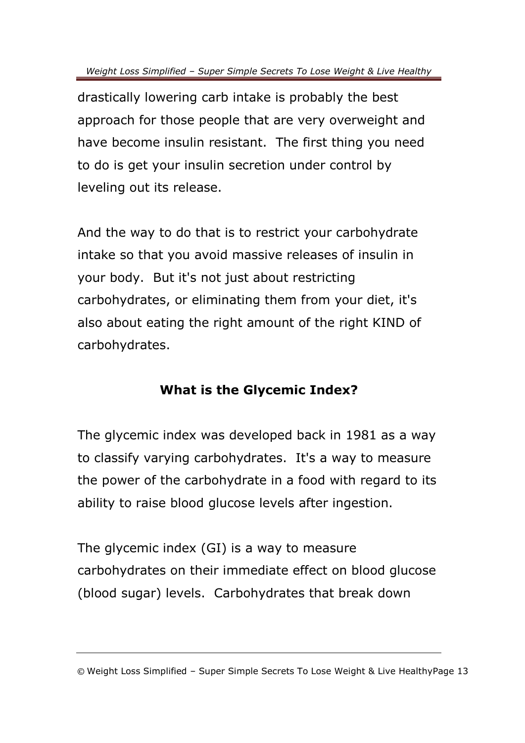drastically lowering carb intake is probably the best approach for those people that are very overweight and have become insulin resistant. The first thing you need to do is get your insulin secretion under control by leveling out its release.

And the way to do that is to restrict your carbohydrate intake so that you avoid massive releases of insulin in your body. But it's not just about restricting carbohydrates, or eliminating them from your diet, it's also about eating the right amount of the right KIND of carbohydrates.

#### **What is the Glycemic Index?**

The glycemic index was developed back in 1981 as a way to classify varying carbohydrates. It's a way to measure the power of the carbohydrate in a food with regard to its ability to raise blood glucose levels after ingestion.

The glycemic index (GI) is a way to measure carbohydrates on their immediate effect on blood glucose (blood sugar) levels. Carbohydrates that break down

<sup>©</sup> Weight Loss Simplified – Super Simple Secrets To Lose Weight & Live HealthyPage 13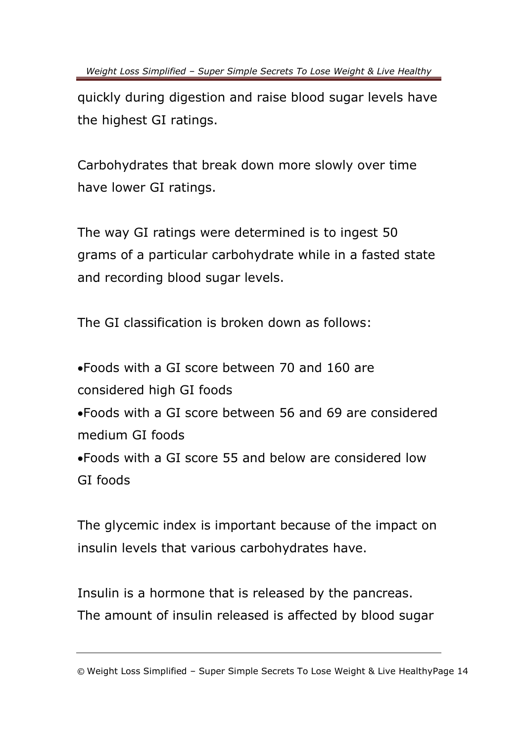quickly during digestion and raise blood sugar levels have the highest GI ratings.

Carbohydrates that break down more slowly over time have lower GI ratings.

The way GI ratings were determined is to ingest 50 grams of a particular carbohydrate while in a fasted state and recording blood sugar levels.

The GI classification is broken down as follows:

Foods with a GI score between 70 and 160 are considered high GI foods Foods with a GI score between 56 and 69 are considered medium GI foods Foods with a GI score 55 and below are considered low GI foods

The glycemic index is important because of the impact on insulin levels that various carbohydrates have.

Insulin is a hormone that is released by the pancreas. The amount of insulin released is affected by blood sugar

<sup>©</sup> Weight Loss Simplified – Super Simple Secrets To Lose Weight & Live HealthyPage 14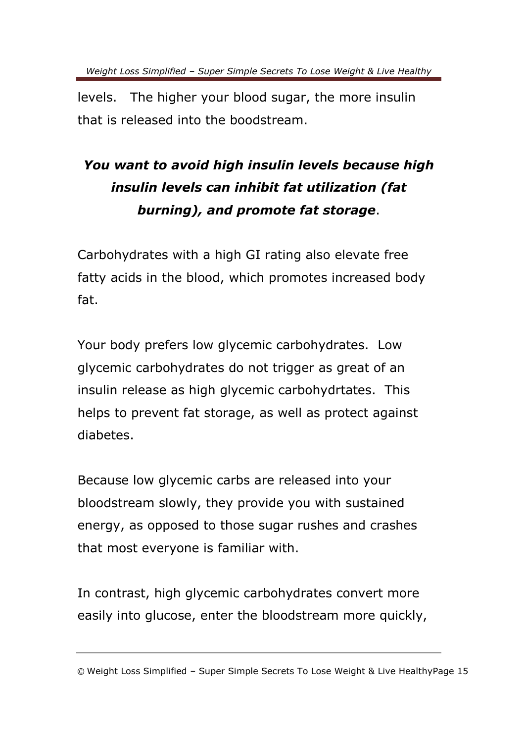levels. The higher your blood sugar, the more insulin that is released into the boodstream.

### *You want to avoid high insulin levels because high insulin levels can inhibit fat utilization (fat burning), and promote fat storage*.

Carbohydrates with a high GI rating also elevate free fatty acids in the blood, which promotes increased body fat.

Your body prefers low glycemic carbohydrates. Low glycemic carbohydrates do not trigger as great of an insulin release as high glycemic carbohydrtates. This helps to prevent fat storage, as well as protect against diabetes.

Because low glycemic carbs are released into your bloodstream slowly, they provide you with sustained energy, as opposed to those sugar rushes and crashes that most everyone is familiar with.

In contrast, high glycemic carbohydrates convert more easily into glucose, enter the bloodstream more quickly,

<sup>©</sup> Weight Loss Simplified – Super Simple Secrets To Lose Weight & Live HealthyPage 15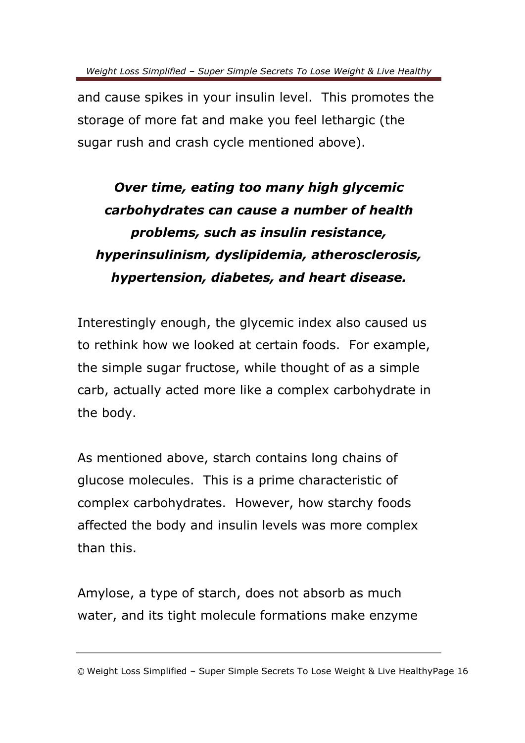and cause spikes in your insulin level. This promotes the storage of more fat and make you feel lethargic (the sugar rush and crash cycle mentioned above).

### *Over time, eating too many high glycemic carbohydrates can cause a number of health problems, such as insulin resistance, hyperinsulinism, dyslipidemia, atherosclerosis, hypertension, diabetes, and heart disease.*

Interestingly enough, the glycemic index also caused us to rethink how we looked at certain foods. For example, the simple sugar fructose, while thought of as a simple carb, actually acted more like a complex carbohydrate in the body.

As mentioned above, starch contains long chains of glucose molecules. This is a prime characteristic of complex carbohydrates. However, how starchy foods affected the body and insulin levels was more complex than this.

Amylose, a type of starch, does not absorb as much water, and its tight molecule formations make enzyme

<sup>©</sup> Weight Loss Simplified – Super Simple Secrets To Lose Weight & Live HealthyPage 16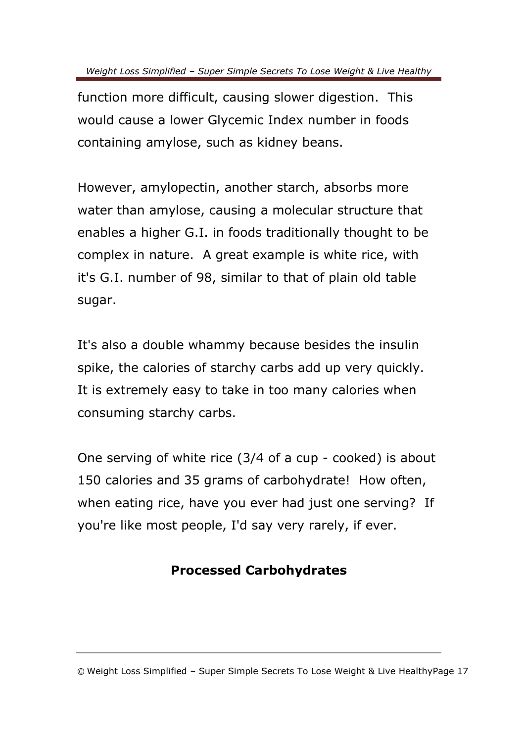function more difficult, causing slower digestion. This would cause a lower Glycemic Index number in foods containing amylose, such as kidney beans.

However, amylopectin, another starch, absorbs more water than amylose, causing a molecular structure that enables a higher G.I. in foods traditionally thought to be complex in nature. A great example is white rice, with it's G.I. number of 98, similar to that of plain old table sugar.

It's also a double whammy because besides the insulin spike, the calories of starchy carbs add up very quickly. It is extremely easy to take in too many calories when consuming starchy carbs.

One serving of white rice (3/4 of a cup - cooked) is about 150 calories and 35 grams of carbohydrate! How often, when eating rice, have you ever had just one serving? If you're like most people, I'd say very rarely, if ever.

#### **Processed Carbohydrates**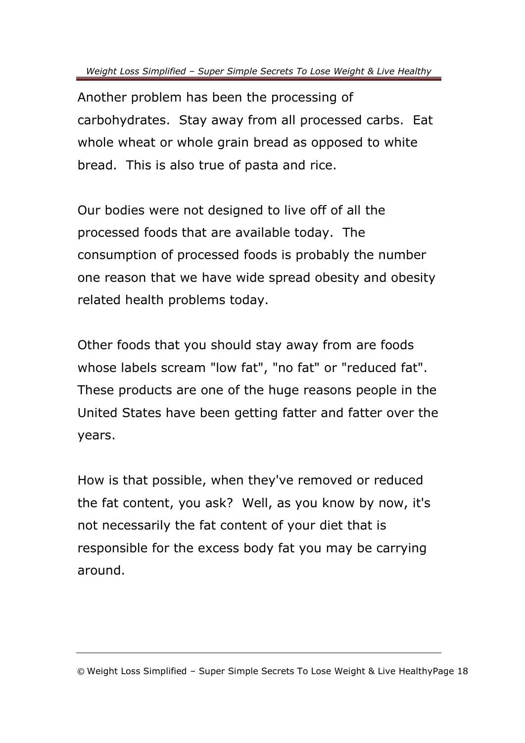Another problem has been the processing of carbohydrates. Stay away from all processed carbs. Eat whole wheat or whole grain bread as opposed to white bread. This is also true of pasta and rice.

Our bodies were not designed to live off of all the processed foods that are available today. The consumption of processed foods is probably the number one reason that we have wide spread obesity and obesity related health problems today.

Other foods that you should stay away from are foods whose labels scream "low fat", "no fat" or "reduced fat". These products are one of the huge reasons people in the United States have been getting fatter and fatter over the years.

How is that possible, when they've removed or reduced the fat content, you ask? Well, as you know by now, it's not necessarily the fat content of your diet that is responsible for the excess body fat you may be carrying around.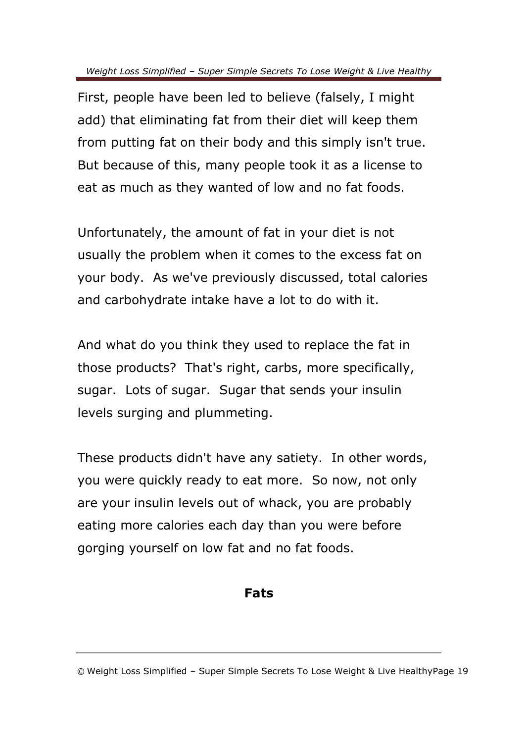First, people have been led to believe (falsely, I might add) that eliminating fat from their diet will keep them from putting fat on their body and this simply isn't true. But because of this, many people took it as a license to eat as much as they wanted of low and no fat foods.

Unfortunately, the amount of fat in your diet is not usually the problem when it comes to the excess fat on your body. As we've previously discussed, total calories and carbohydrate intake have a lot to do with it.

And what do you think they used to replace the fat in those products? That's right, carbs, more specifically, sugar. Lots of sugar. Sugar that sends your insulin levels surging and plummeting.

These products didn't have any satiety. In other words, you were quickly ready to eat more. So now, not only are your insulin levels out of whack, you are probably eating more calories each day than you were before gorging yourself on low fat and no fat foods.

#### **Fats**

<sup>©</sup> Weight Loss Simplified – Super Simple Secrets To Lose Weight & Live HealthyPage 19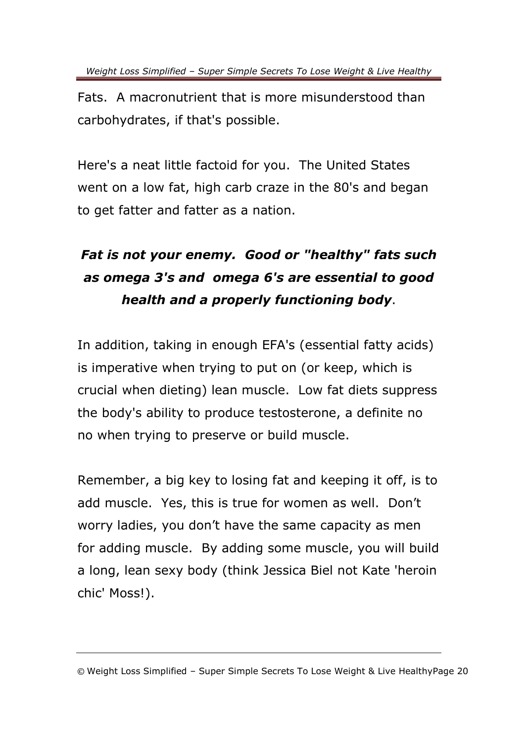Fats. A macronutrient that is more misunderstood than carbohydrates, if that's possible.

Here's a neat little factoid for you. The United States went on a low fat, high carb craze in the 80's and began to get fatter and fatter as a nation.

### *Fat is not your enemy. Good or "healthy" fats such as omega 3's and omega 6's are essential to good health and a properly functioning body*.

In addition, taking in enough EFA's (essential fatty acids) is imperative when trying to put on (or keep, which is crucial when dieting) lean muscle. Low fat diets suppress the body's ability to produce testosterone, a definite no no when trying to preserve or build muscle.

Remember, a big key to losing fat and keeping it off, is to add muscle. Yes, this is true for women as well. Don't worry ladies, you don't have the same capacity as men for adding muscle. By adding some muscle, you will build a long, lean sexy body (think Jessica Biel not Kate 'heroin chic' Moss!).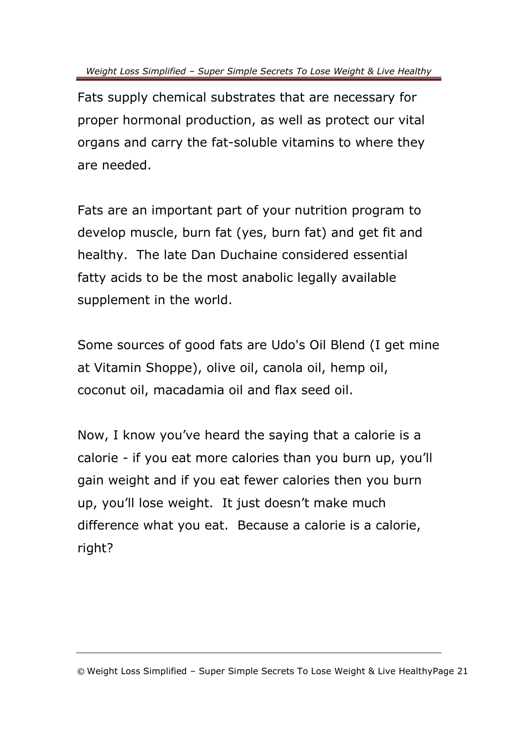Fats supply chemical substrates that are necessary for proper hormonal production, as well as protect our vital organs and carry the fat-soluble vitamins to where they are needed.

Fats are an important part of your nutrition program to develop muscle, burn fat (yes, burn fat) and get fit and healthy. The late Dan Duchaine considered essential fatty acids to be the most anabolic legally available supplement in the world.

Some sources of good fats are Udo's Oil Blend (I get mine at Vitamin Shoppe), olive oil, canola oil, hemp oil, coconut oil, macadamia oil and flax seed oil.

Now, I know you've heard the saying that a calorie is a calorie - if you eat more calories than you burn up, you'll gain weight and if you eat fewer calories then you burn up, you'll lose weight. It just doesn't make much difference what you eat. Because a calorie is a calorie, right?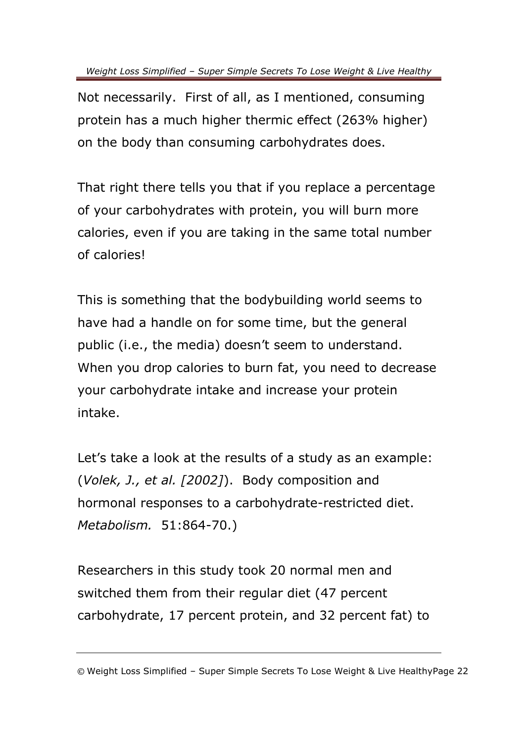Not necessarily. First of all, as I mentioned, consuming protein has a much higher thermic effect (263% higher) on the body than consuming carbohydrates does.

That right there tells you that if you replace a percentage of your carbohydrates with protein, you will burn more calories, even if you are taking in the same total number of calories!

This is something that the bodybuilding world seems to have had a handle on for some time, but the general public (i.e., the media) doesn't seem to understand. When you drop calories to burn fat, you need to decrease your carbohydrate intake and increase your protein intake.

Let's take a look at the results of a study as an example: (*Volek, J., et al. [2002]*). Body composition and hormonal responses to a carbohydrate-restricted diet. *Metabolism.* 51:864-70.)

Researchers in this study took 20 normal men and switched them from their regular diet (47 percent carbohydrate, 17 percent protein, and 32 percent fat) to

<sup>©</sup> Weight Loss Simplified – Super Simple Secrets To Lose Weight & Live HealthyPage 22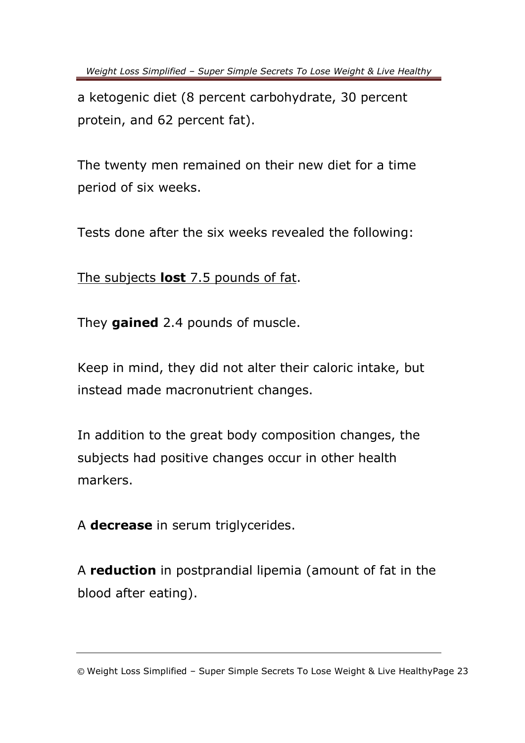a ketogenic diet (8 percent carbohydrate, 30 percent protein, and 62 percent fat).

The twenty men remained on their new diet for a time period of six weeks.

Tests done after the six weeks revealed the following:

The subjects **lost** 7.5 pounds of fat.

They **gained** 2.4 pounds of muscle.

Keep in mind, they did not alter their caloric intake, but instead made macronutrient changes.

In addition to the great body composition changes, the subjects had positive changes occur in other health markers.

A **decrease** in serum triglycerides.

A **reduction** in postprandial lipemia (amount of fat in the blood after eating).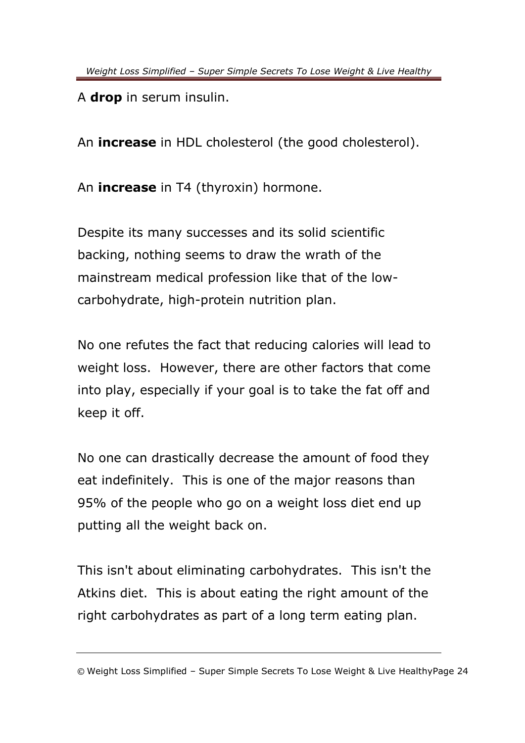A **drop** in serum insulin.

An **increase** in HDL cholesterol (the good cholesterol).

An **increase** in T4 (thyroxin) hormone.

Despite its many successes and its solid scientific backing, nothing seems to draw the wrath of the mainstream medical profession like that of the lowcarbohydrate, high-protein nutrition plan.

No one refutes the fact that reducing calories will lead to weight loss. However, there are other factors that come into play, especially if your goal is to take the fat off and keep it off.

No one can drastically decrease the amount of food they eat indefinitely. This is one of the major reasons than 95% of the people who go on a weight loss diet end up putting all the weight back on.

This isn't about eliminating carbohydrates. This isn't the Atkins diet. This is about eating the right amount of the right carbohydrates as part of a long term eating plan.

<sup>©</sup> Weight Loss Simplified – Super Simple Secrets To Lose Weight & Live HealthyPage 24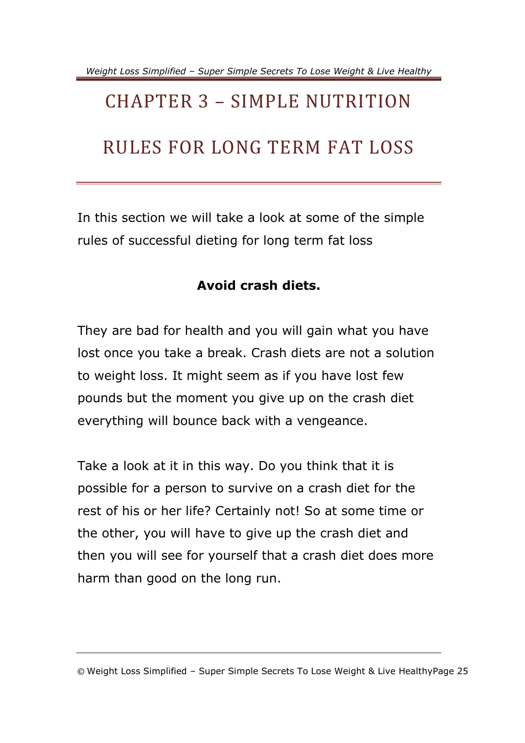# <span id="page-27-0"></span>CHAPTER 3 – SIMPLE NUTRITION RULES FOR LONG TERM FAT LOSS

In this section we will take a look at some of the simple rules of successful dieting for long term fat loss

#### **Avoid crash diets.**

They are bad for health and you will gain what you have lost once you take a break. Crash diets are not a solution to weight loss. It might seem as if you have lost few pounds but the moment you give up on the crash diet everything will bounce back with a vengeance.

Take a look at it in this way. Do you think that it is possible for a person to survive on a crash diet for the rest of his or her life? Certainly not! So at some time or the other, you will have to give up the crash diet and then you will see for yourself that a crash diet does more harm than good on the long run.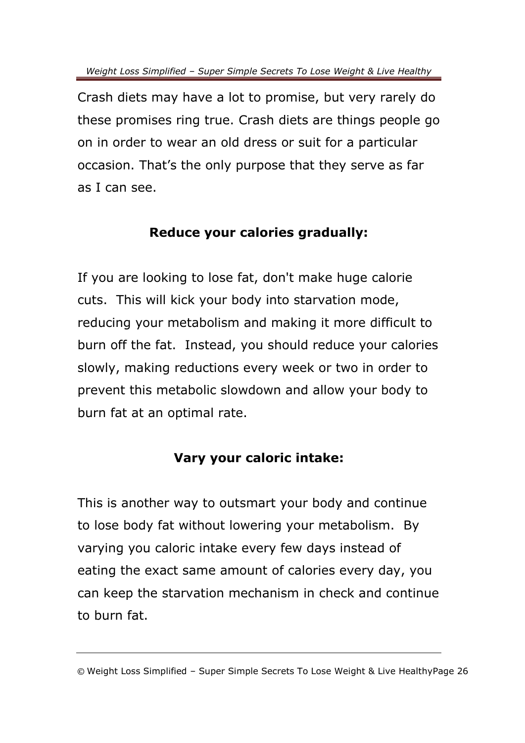Crash diets may have a lot to promise, but very rarely do these promises ring true. Crash diets are things people go on in order to wear an old dress or suit for a particular occasion. That's the only purpose that they serve as far as I can see.

#### **Reduce your calories gradually:**

If you are looking to lose fat, don't make huge calorie cuts. This will kick your body into starvation mode, reducing your metabolism and making it more difficult to burn off the fat. Instead, you should reduce your calories slowly, making reductions every week or two in order to prevent this metabolic slowdown and allow your body to burn fat at an optimal rate.

#### **Vary your caloric intake:**

This is another way to outsmart your body and continue to lose body fat without lowering your metabolism. By varying you caloric intake every few days instead of eating the exact same amount of calories every day, you can keep the starvation mechanism in check and continue to burn fat.

<sup>©</sup> Weight Loss Simplified – Super Simple Secrets To Lose Weight & Live HealthyPage 26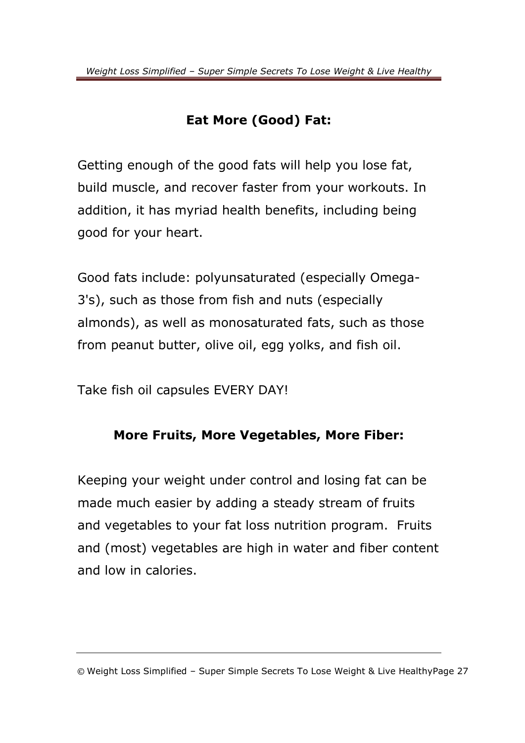#### **Eat More (Good) Fat:**

Getting enough of the good fats will help you lose fat, build muscle, and recover faster from your workouts. In addition, it has myriad health benefits, including being good for your heart.

Good fats include: polyunsaturated (especially Omega-3's), such as those from fish and nuts (especially almonds), as well as monosaturated fats, such as those from peanut butter, olive oil, egg yolks, and fish oil.

Take fish oil capsules EVERY DAY!

#### **More Fruits, More Vegetables, More Fiber:**

Keeping your weight under control and losing fat can be made much easier by adding a steady stream of fruits and vegetables to your fat loss nutrition program. Fruits and (most) vegetables are high in water and fiber content and low in calories.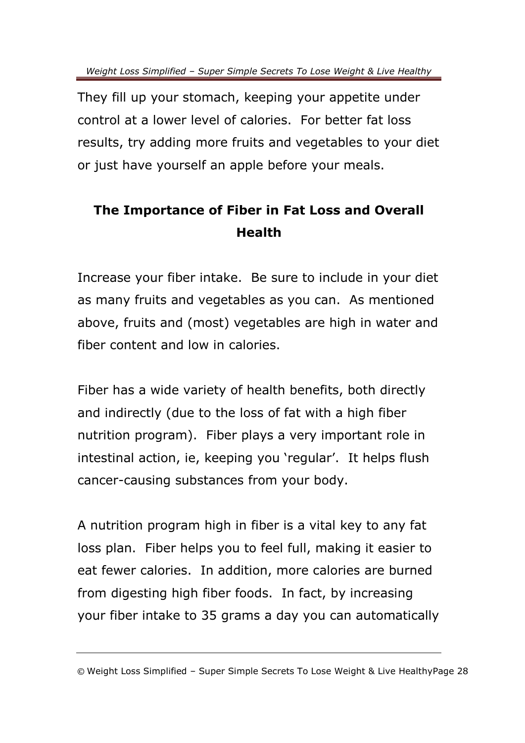They fill up your stomach, keeping your appetite under control at a lower level of calories. For better fat loss results, try adding more fruits and vegetables to your diet or just have yourself an apple before your meals.

#### **The Importance of Fiber in Fat Loss and Overall Health**

Increase your fiber intake. Be sure to include in your diet as many fruits and vegetables as you can. As mentioned above, fruits and (most) vegetables are high in water and fiber content and low in calories.

Fiber has a wide variety of health benefits, both directly and indirectly (due to the loss of fat with a high fiber nutrition program). Fiber plays a very important role in intestinal action, ie, keeping you 'regular'. It helps flush cancer-causing substances from your body.

A nutrition program high in fiber is a vital key to any fat loss plan. Fiber helps you to feel full, making it easier to eat fewer calories. In addition, more calories are burned from digesting high fiber foods. In fact, by increasing your fiber intake to 35 grams a day you can automatically

<sup>©</sup> Weight Loss Simplified – Super Simple Secrets To Lose Weight & Live HealthyPage 28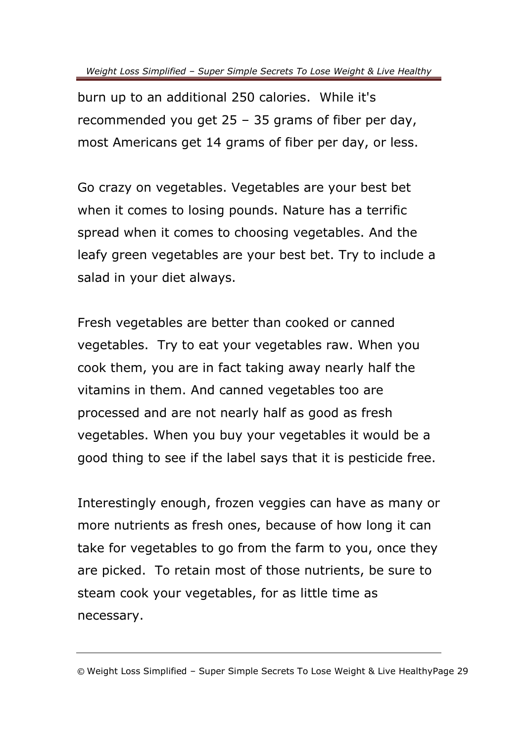burn up to an additional 250 calories. While it's recommended you get 25 – 35 grams of fiber per day, most Americans get 14 grams of fiber per day, or less.

Go crazy on vegetables. Vegetables are your best bet when it comes to losing pounds. Nature has a terrific spread when it comes to choosing vegetables. And the leafy green vegetables are your best bet. Try to include a salad in your diet always.

Fresh vegetables are better than cooked or canned vegetables. Try to eat your vegetables raw. When you cook them, you are in fact taking away nearly half the vitamins in them. And canned vegetables too are processed and are not nearly half as good as fresh vegetables. When you buy your vegetables it would be a good thing to see if the label says that it is pesticide free.

Interestingly enough, frozen veggies can have as many or more nutrients as fresh ones, because of how long it can take for vegetables to go from the farm to you, once they are picked. To retain most of those nutrients, be sure to steam cook your vegetables, for as little time as necessary.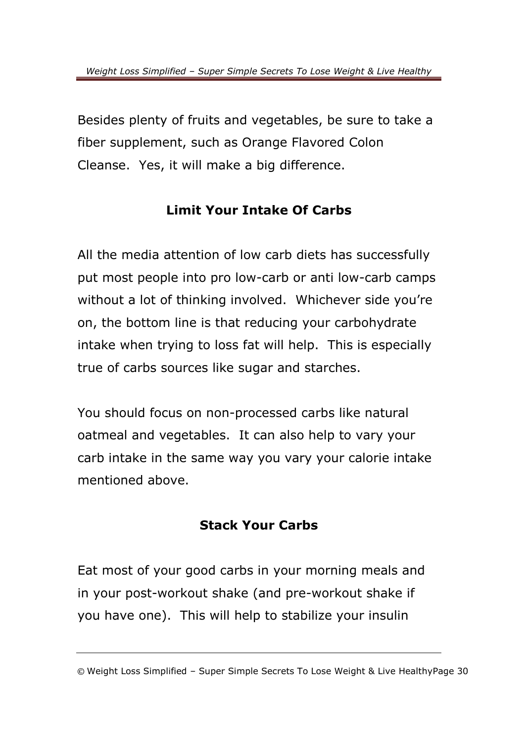Besides plenty of fruits and vegetables, be sure to take a fiber supplement, such as Orange Flavored Colon Cleanse. Yes, it will make a big difference.

#### **Limit Your Intake Of Carbs**

All the media attention of low carb diets has successfully put most people into pro low-carb or anti low-carb camps without a lot of thinking involved. Whichever side you're on, the bottom line is that reducing your carbohydrate intake when trying to loss fat will help. This is especially true of carbs sources like sugar and starches.

You should focus on non-processed carbs like natural oatmeal and vegetables. It can also help to vary your carb intake in the same way you vary your calorie intake mentioned above.

#### **Stack Your Carbs**

Eat most of your good carbs in your morning meals and in your post-workout shake (and pre-workout shake if you have one). This will help to stabilize your insulin

<sup>©</sup> Weight Loss Simplified – Super Simple Secrets To Lose Weight & Live HealthyPage 30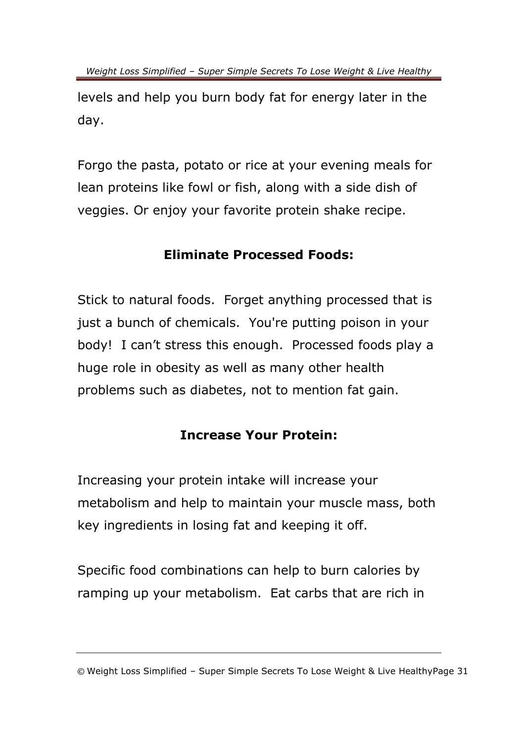levels and help you burn body fat for energy later in the day.

Forgo the pasta, potato or rice at your evening meals for lean proteins like fowl or fish, along with a side dish of veggies. Or enjoy your favorite protein shake recipe.

#### **Eliminate Processed Foods:**

Stick to natural foods. Forget anything processed that is just a bunch of chemicals. You're putting poison in your body! I can't stress this enough. Processed foods play a huge role in obesity as well as many other health problems such as diabetes, not to mention fat gain.

#### **Increase Your Protein:**

Increasing your protein intake will increase your metabolism and help to maintain your muscle mass, both key ingredients in losing fat and keeping it off.

Specific food combinations can help to burn calories by ramping up your metabolism. Eat carbs that are rich in

<sup>©</sup> Weight Loss Simplified – Super Simple Secrets To Lose Weight & Live HealthyPage 31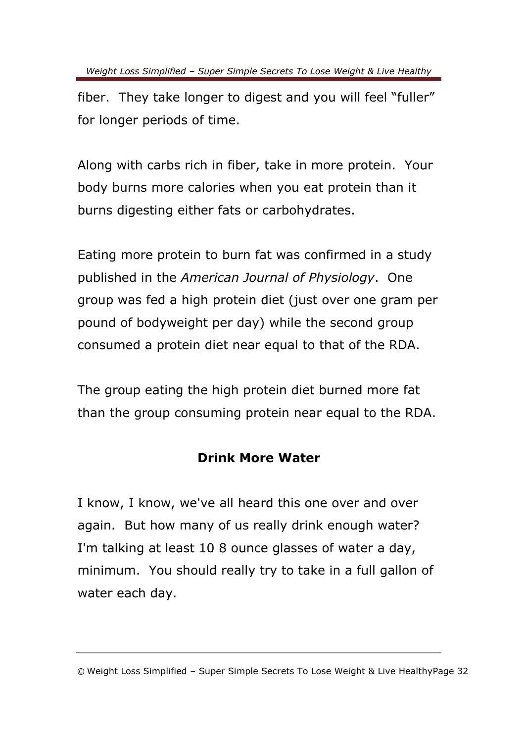fiber. They take longer to digest and you will feel "fuller" for longer periods of time.

Along with carbs rich in fiber, take in more protein. Your body burns more calories when you eat protein than it burns digesting either fats or carbohydrates.

Eating more protein to burn fat was confirmed in a study published in the *American Journal of Physiology*. One group was fed a high protein diet (just over one gram per pound of bodyweight per day) while the second group consumed a protein diet near equal to that of the RDA.

The group eating the high protein diet burned more fat than the group consuming protein near equal to the RDA.

#### **Drink More Water**

I know, I know, we've all heard this one over and over again. But how many of us really drink enough water? I'm talking at least 10 8 ounce glasses of water a day, minimum. You should really try to take in a full gallon of water each day.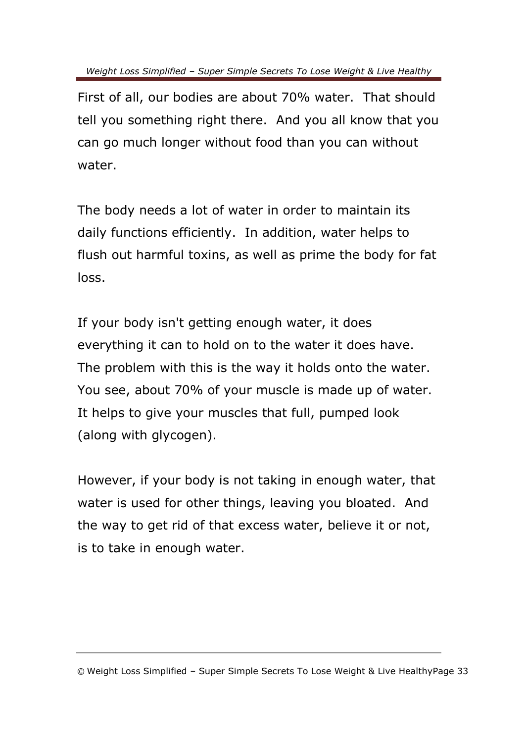First of all, our bodies are about 70% water. That should tell you something right there. And you all know that you can go much longer without food than you can without water.

The body needs a lot of water in order to maintain its daily functions efficiently. In addition, water helps to flush out harmful toxins, as well as prime the body for fat loss.

If your body isn't getting enough water, it does everything it can to hold on to the water it does have. The problem with this is the way it holds onto the water. You see, about 70% of your muscle is made up of water. It helps to give your muscles that full, pumped look (along with glycogen).

However, if your body is not taking in enough water, that water is used for other things, leaving you bloated. And the way to get rid of that excess water, believe it or not, is to take in enough water.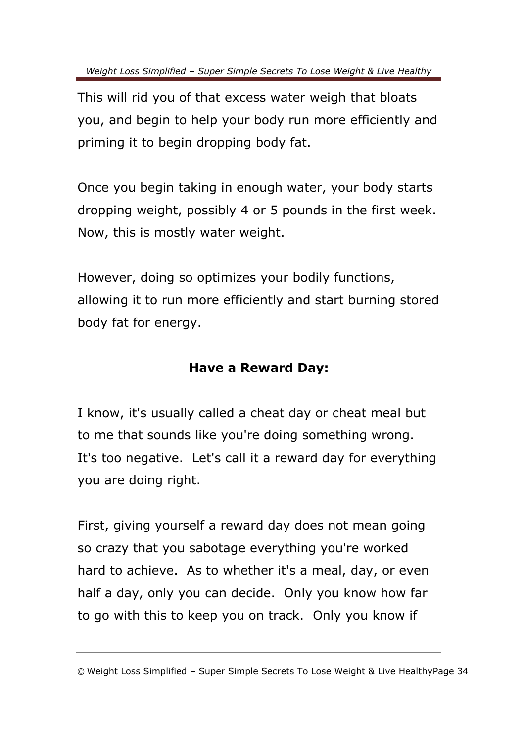This will rid you of that excess water weigh that bloats you, and begin to help your body run more efficiently and priming it to begin dropping body fat.

Once you begin taking in enough water, your body starts dropping weight, possibly 4 or 5 pounds in the first week. Now, this is mostly water weight.

However, doing so optimizes your bodily functions, allowing it to run more efficiently and start burning stored body fat for energy.

#### **Have a Reward Day:**

I know, it's usually called a cheat day or cheat meal but to me that sounds like you're doing something wrong. It's too negative. Let's call it a reward day for everything you are doing right.

First, giving yourself a reward day does not mean going so crazy that you sabotage everything you're worked hard to achieve. As to whether it's a meal, day, or even half a day, only you can decide. Only you know how far to go with this to keep you on track. Only you know if

<sup>©</sup> Weight Loss Simplified – Super Simple Secrets To Lose Weight & Live HealthyPage 34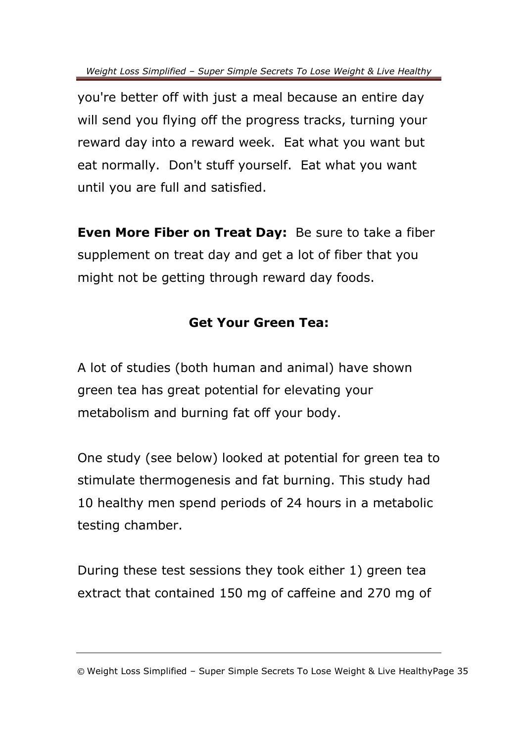you're better off with just a meal because an entire day will send you flying off the progress tracks, turning your reward day into a reward week. Eat what you want but eat normally. Don't stuff yourself. Eat what you want until you are full and satisfied.

**Even More Fiber on Treat Day:** Be sure to take a fiber supplement on treat day and get a lot of fiber that you might not be getting through reward day foods.

#### **Get Your Green Tea:**

A lot of studies (both human and animal) have shown green tea has great potential for elevating your metabolism and burning fat off your body.

One study (see below) looked at potential for green tea to stimulate thermogenesis and fat burning. This study had 10 healthy men spend periods of 24 hours in a metabolic testing chamber.

During these test sessions they took either 1) green tea extract that contained 150 mg of caffeine and 270 mg of

<sup>©</sup> Weight Loss Simplified – Super Simple Secrets To Lose Weight & Live HealthyPage 35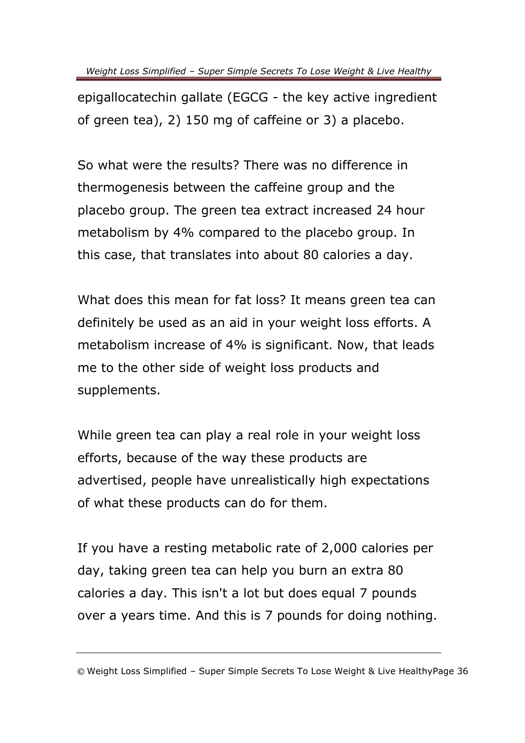epigallocatechin gallate (EGCG - the key active ingredient of green tea), 2) 150 mg of caffeine or 3) a placebo.

So what were the results? There was no difference in thermogenesis between the caffeine group and the placebo group. The green tea extract increased 24 hour metabolism by 4% compared to the placebo group. In this case, that translates into about 80 calories a day.

What does this mean for fat loss? It means green tea can definitely be used as an aid in your weight loss efforts. A metabolism increase of 4% is significant. Now, that leads me to the other side of weight loss products and supplements.

While green tea can play a real role in your weight loss efforts, because of the way these products are advertised, people have unrealistically high expectations of what these products can do for them.

If you have a resting metabolic rate of 2,000 calories per day, taking green tea can help you burn an extra 80 calories a day. This isn't a lot but does equal 7 pounds over a years time. And this is 7 pounds for doing nothing.

<sup>©</sup> Weight Loss Simplified – Super Simple Secrets To Lose Weight & Live HealthyPage 36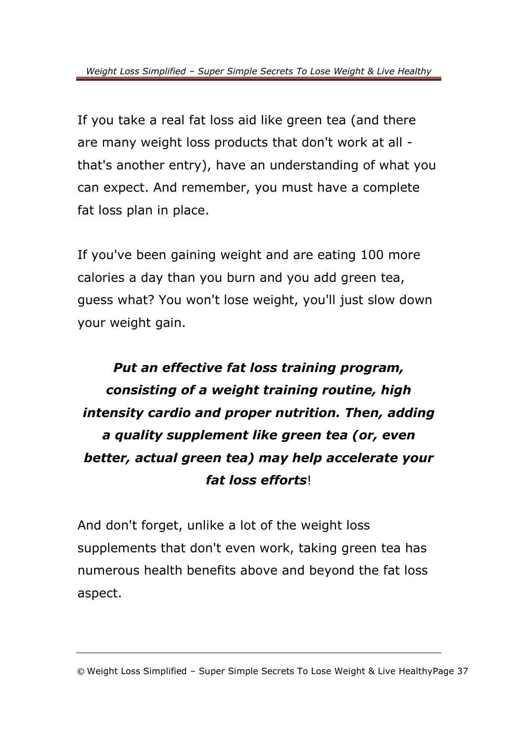If you take a real fat loss aid like green tea (and there are many weight loss products that don't work at all that's another entry), have an understanding of what you can expect. And remember, you must have a complete fat loss plan in place.

If you've been gaining weight and are eating 100 more calories a day than you burn and you add green tea, guess what? You won't lose weight, you'll just slow down your weight gain.

### *Put an effective fat loss training program, consisting of a weight training routine, high intensity cardio and proper nutrition. Then, adding a quality supplement like green tea (or, even better, actual green tea) may help accelerate your fat loss efforts*!

And don't forget, unlike a lot of the weight loss supplements that don't even work, taking green tea has numerous health benefits above and beyond the fat loss aspect.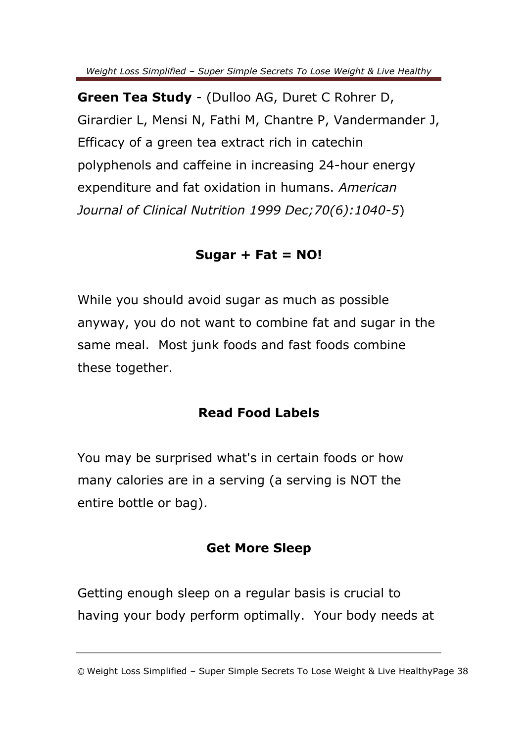**Green Tea Study** - (Dulloo AG, Duret C Rohrer D, Girardier L, Mensi N, Fathi M, Chantre P, Vandermander J, Efficacy of a green tea extract rich in catechin polyphenols and caffeine in increasing 24-hour energy expenditure and fat oxidation in humans. *American Journal of Clinical Nutrition 1999 Dec;70(6):1040-5*)

#### **Sugar + Fat = NO!**

While you should avoid sugar as much as possible anyway, you do not want to combine fat and sugar in the same meal. Most junk foods and fast foods combine these together.

#### **Read Food Labels**

You may be surprised what's in certain foods or how many calories are in a serving (a serving is NOT the entire bottle or bag).

#### **Get More Sleep**

Getting enough sleep on a regular basis is crucial to having your body perform optimally. Your body needs at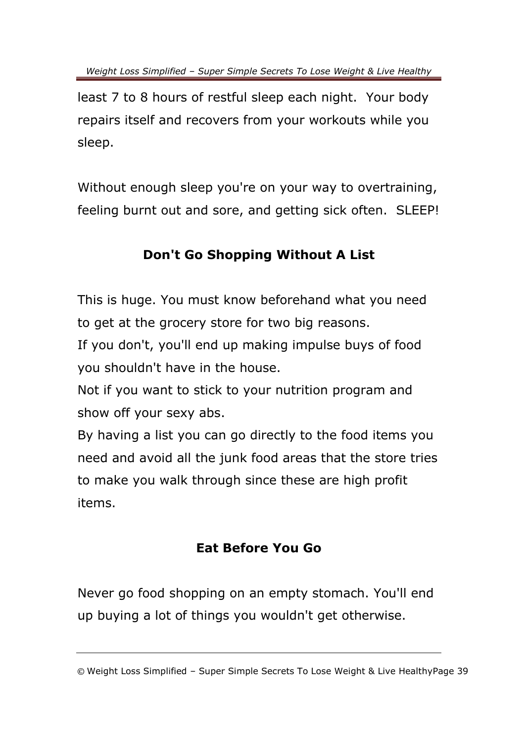least 7 to 8 hours of restful sleep each night. Your body repairs itself and recovers from your workouts while you sleep.

Without enough sleep you're on your way to overtraining, feeling burnt out and sore, and getting sick often. SLEEP!

#### **Don't Go Shopping Without A List**

This is huge. You must know beforehand what you need to get at the grocery store for two big reasons.

If you don't, you'll end up making impulse buys of food you shouldn't have in the house.

Not if you want to stick to your nutrition program and show off your sexy abs.

By having a list you can go directly to the food items you need and avoid all the junk food areas that the store tries to make you walk through since these are high profit items.

#### **Eat Before You Go**

Never go food shopping on an empty stomach. You'll end up buying a lot of things you wouldn't get otherwise.

<sup>©</sup> Weight Loss Simplified – Super Simple Secrets To Lose Weight & Live HealthyPage 39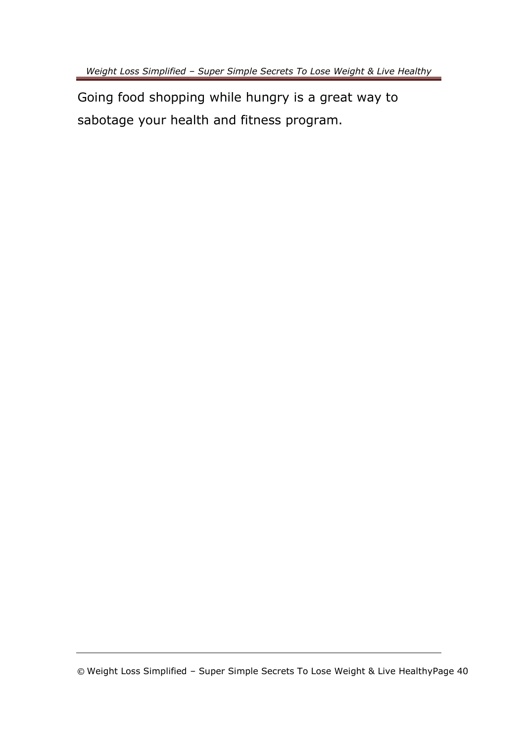Going food shopping while hungry is a great way to sabotage your health and fitness program.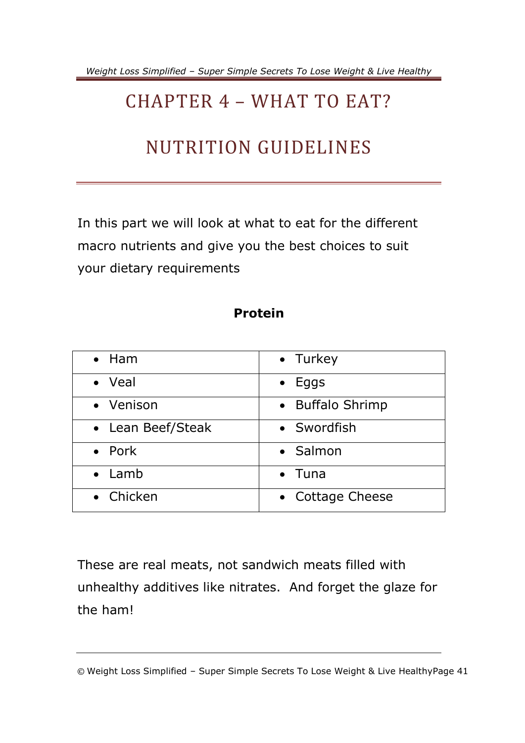### <span id="page-43-0"></span>CHAPTER 4 – WHAT TO EAT?

### NUTRITION GUIDELINES

In this part we will look at what to eat for the different macro nutrients and give you the best choices to suit your dietary requirements

#### **Protein**

| $\bullet$ Ham     | • Turkey         |
|-------------------|------------------|
| • Veal            | $\bullet$ Eggs   |
| • Venison         | • Buffalo Shrimp |
| • Lean Beef/Steak | • Swordfish      |
| • Pork            | • Salmon         |
| $\bullet$ Lamb    | $\bullet$ Tuna   |
| • Chicken         | • Cottage Cheese |

These are real meats, not sandwich meats filled with unhealthy additives like nitrates. And forget the glaze for the ham!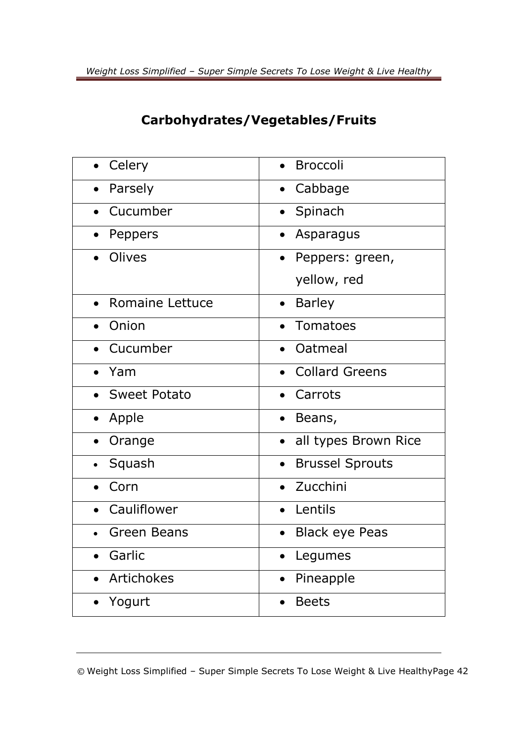#### **Carbohydrates/Vegetables/Fruits**

| Celery              | <b>Broccoli</b>                     |
|---------------------|-------------------------------------|
| Parsely             | Cabbage                             |
| Cucumber            | Spinach                             |
| Peppers             | Asparagus                           |
| Olives              | Peppers: green,<br>$\bullet$        |
|                     | yellow, red                         |
| Romaine Lettuce     | <b>Barley</b>                       |
| Onion               | Tomatoes                            |
| Cucumber            | Oatmeal                             |
| Yam                 | <b>Collard Greens</b>               |
| <b>Sweet Potato</b> | Carrots                             |
| Apple<br>$\bullet$  | Beans,<br>$\bullet$                 |
| Orange              | all types Brown Rice                |
| Squash              | <b>Brussel Sprouts</b><br>$\bullet$ |
| Corn                | Zucchini                            |
| Cauliflower         | Lentils                             |
| <b>Green Beans</b>  | <b>Black eye Peas</b>               |
| Garlic              | Legumes                             |
| <b>Artichokes</b>   | Pineapple                           |
| Yogurt              | <b>Beets</b>                        |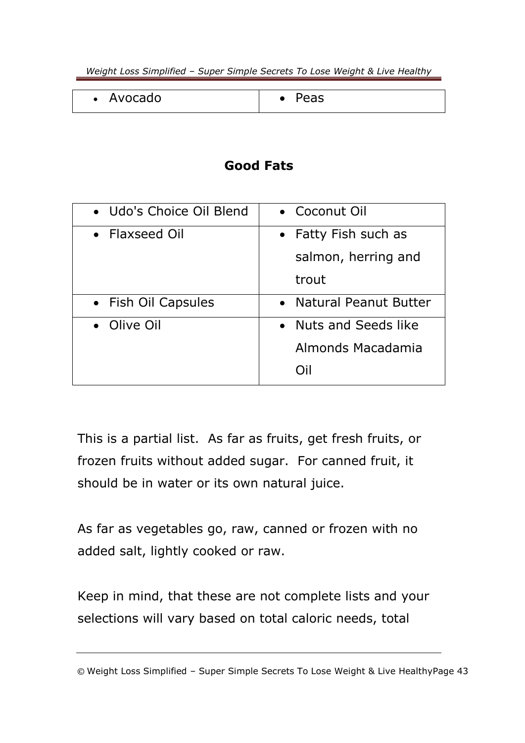| Avocado<br>$\bullet$ | 。u J |
|----------------------|------|
|                      |      |

#### **Good Fats**

| • Udo's Choice Oil Blend | • Coconut Oil                                      |
|--------------------------|----------------------------------------------------|
| • Flaxseed Oil           | Fatty Fish such as<br>salmon, herring and<br>trout |
| • Fish Oil Capsules      | <b>Natural Peanut Butter</b><br>$\bullet$          |
| • Olive Oil              | Nuts and Seeds like<br>Almonds Macadamia<br>∩il    |

This is a partial list. As far as fruits, get fresh fruits, or frozen fruits without added sugar. For canned fruit, it should be in water or its own natural juice.

As far as vegetables go, raw, canned or frozen with no added salt, lightly cooked or raw.

Keep in mind, that these are not complete lists and your selections will vary based on total caloric needs, total

<sup>©</sup> Weight Loss Simplified – Super Simple Secrets To Lose Weight & Live HealthyPage 43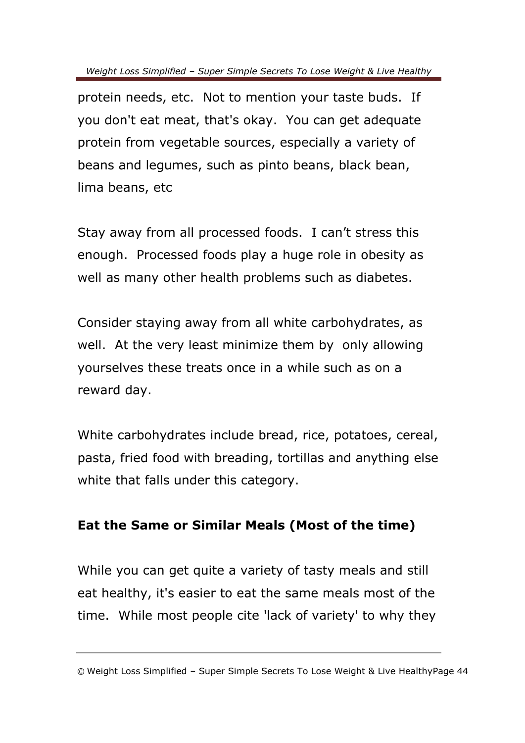protein needs, etc. Not to mention your taste buds. If you don't eat meat, that's okay. You can get adequate protein from vegetable sources, especially a variety of beans and legumes, such as pinto beans, black bean, lima beans, etc

Stay away from all processed foods. I can't stress this enough. Processed foods play a huge role in obesity as well as many other health problems such as diabetes.

Consider staying away from all white carbohydrates, as well. At the very least minimize them by only allowing yourselves these treats once in a while such as on a reward day.

White carbohydrates include bread, rice, potatoes, cereal, pasta, fried food with breading, tortillas and anything else white that falls under this category.

#### **Eat the Same or Similar Meals (Most of the time)**

While you can get quite a variety of tasty meals and still eat healthy, it's easier to eat the same meals most of the time. While most people cite 'lack of variety' to why they

<sup>©</sup> Weight Loss Simplified – Super Simple Secrets To Lose Weight & Live HealthyPage 44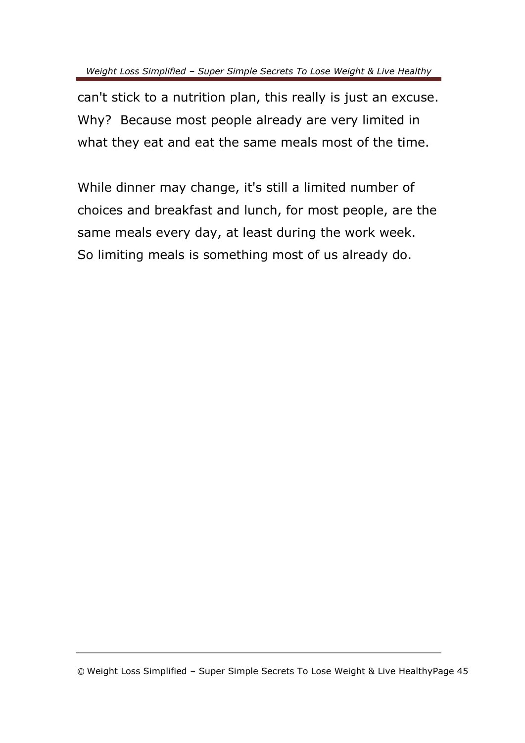can't stick to a nutrition plan, this really is just an excuse. Why? Because most people already are very limited in what they eat and eat the same meals most of the time.

While dinner may change, it's still a limited number of choices and breakfast and lunch, for most people, are the same meals every day, at least during the work week. So limiting meals is something most of us already do.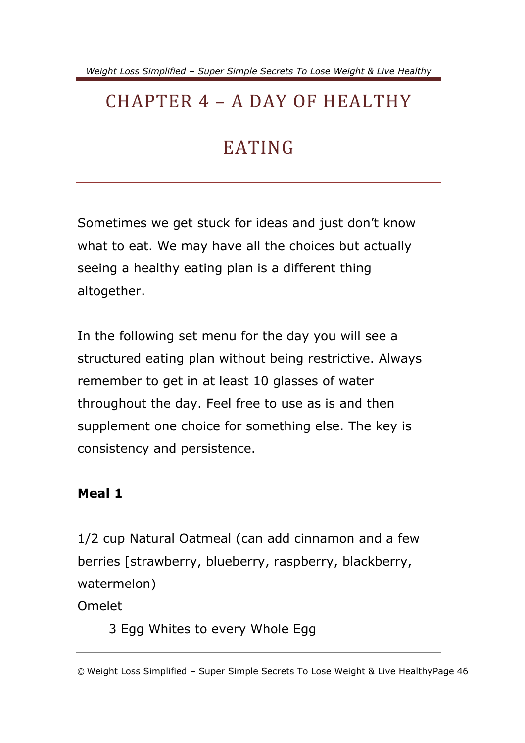### <span id="page-48-0"></span>CHAPTER 4 – A DAY OF HEALTHY

### EATING

Sometimes we get stuck for ideas and just don't know what to eat. We may have all the choices but actually seeing a healthy eating plan is a different thing altogether.

In the following set menu for the day you will see a structured eating plan without being restrictive. Always remember to get in at least 10 glasses of water throughout the day. Feel free to use as is and then supplement one choice for something else. The key is consistency and persistence.

#### **Meal 1**

1/2 cup Natural Oatmeal (can add cinnamon and a few berries [strawberry, blueberry, raspberry, blackberry, watermelon)

Omelet

3 Egg Whites to every Whole Egg

<sup>©</sup> Weight Loss Simplified – Super Simple Secrets To Lose Weight & Live HealthyPage 46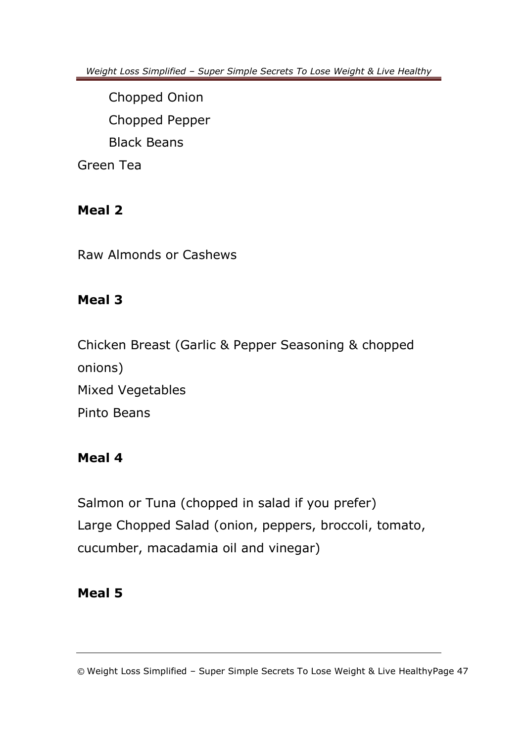Chopped Onion Chopped Pepper Black Beans Green Tea

#### **Meal 2**

Raw Almonds or Cashews

#### **Meal 3**

Chicken Breast (Garlic & Pepper Seasoning & chopped onions) Mixed Vegetables Pinto Beans

#### **Meal 4**

Salmon or Tuna (chopped in salad if you prefer) Large Chopped Salad (onion, peppers, broccoli, tomato, cucumber, macadamia oil and vinegar)

#### **Meal 5**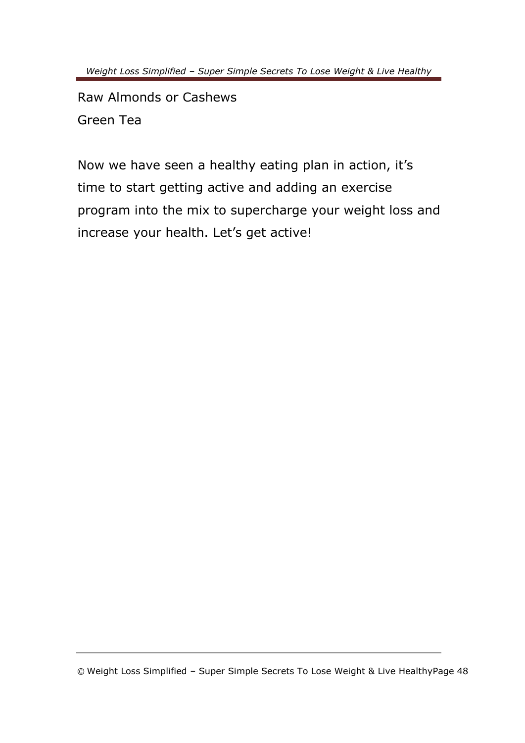Raw Almonds or Cashews Green Tea

Now we have seen a healthy eating plan in action, it's time to start getting active and adding an exercise program into the mix to supercharge your weight loss and increase your health. Let's get active!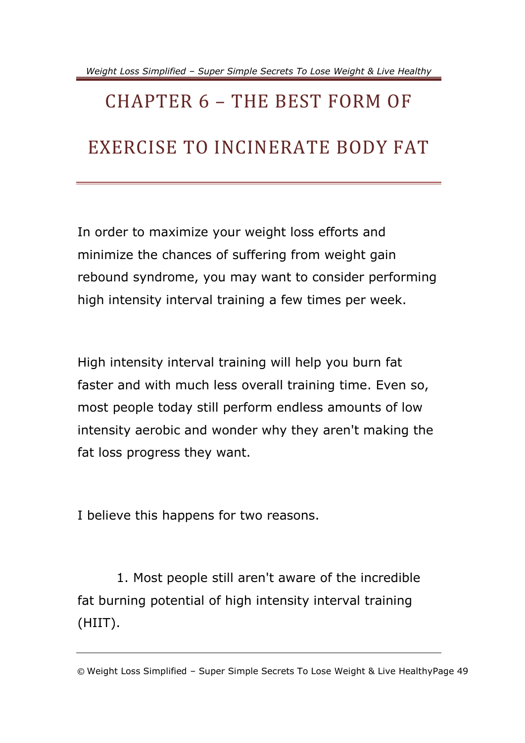# <span id="page-51-0"></span>CHAPTER 6 – THE BEST FORM OF EXERCISE TO INCINERATE BODY FAT

In order to maximize your weight loss efforts and minimize the chances of suffering from weight gain rebound syndrome, you may want to consider performing high intensity interval training a few times per week.

High intensity interval training will help you burn fat faster and with much less overall training time. Even so, most people today still perform endless amounts of low intensity aerobic and wonder why they aren't making the fat loss progress they want.

I believe this happens for two reasons.

 1. Most people still aren't aware of the incredible fat burning potential of high intensity interval training (HIIT).

<sup>©</sup> Weight Loss Simplified – Super Simple Secrets To Lose Weight & Live HealthyPage 49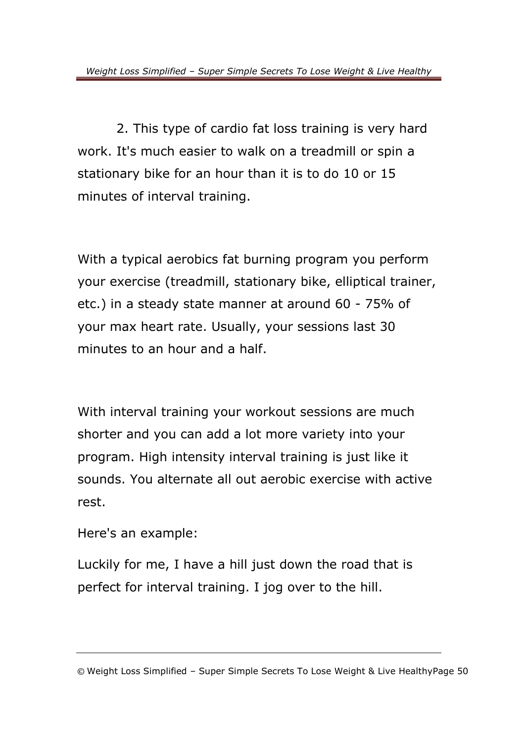2. This type of cardio fat loss training is very hard work. It's much easier to walk on a treadmill or spin a stationary bike for an hour than it is to do 10 or 15 minutes of interval training.

With a typical aerobics fat burning program you perform your exercise (treadmill, stationary bike, elliptical trainer, etc.) in a steady state manner at around 60 - 75% of your max heart rate. Usually, your sessions last 30 minutes to an hour and a half.

With interval training your workout sessions are much shorter and you can add a lot more variety into your program. High intensity interval training is just like it sounds. You alternate all out aerobic exercise with active rest.

Here's an example:

Luckily for me, I have a hill just down the road that is perfect for interval training. I jog over to the hill.

<sup>©</sup> Weight Loss Simplified – Super Simple Secrets To Lose Weight & Live HealthyPage 50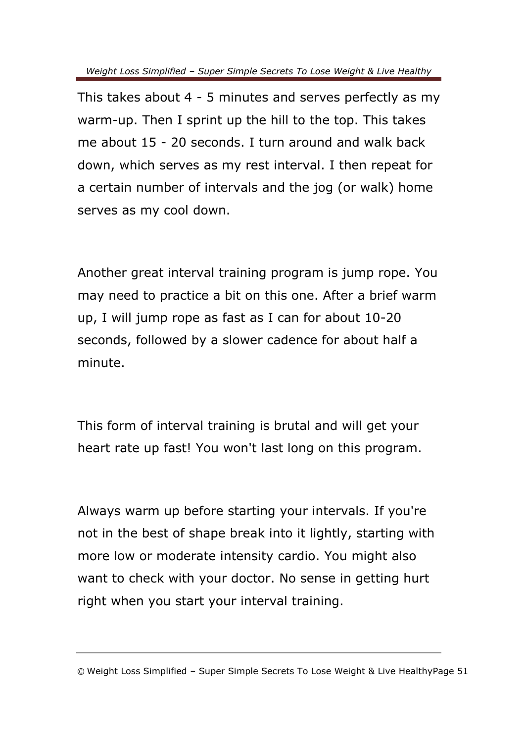This takes about 4 - 5 minutes and serves perfectly as my warm-up. Then I sprint up the hill to the top. This takes me about 15 - 20 seconds. I turn around and walk back down, which serves as my rest interval. I then repeat for a certain number of intervals and the jog (or walk) home serves as my cool down.

Another great interval training program is jump rope. You may need to practice a bit on this one. After a brief warm up, I will jump rope as fast as I can for about 10-20 seconds, followed by a slower cadence for about half a minute.

This form of interval training is brutal and will get your heart rate up fast! You won't last long on this program.

Always warm up before starting your intervals. If you're not in the best of shape break into it lightly, starting with more low or moderate intensity cardio. You might also want to check with your doctor. No sense in getting hurt right when you start your interval training.

<sup>©</sup> Weight Loss Simplified – Super Simple Secrets To Lose Weight & Live HealthyPage 51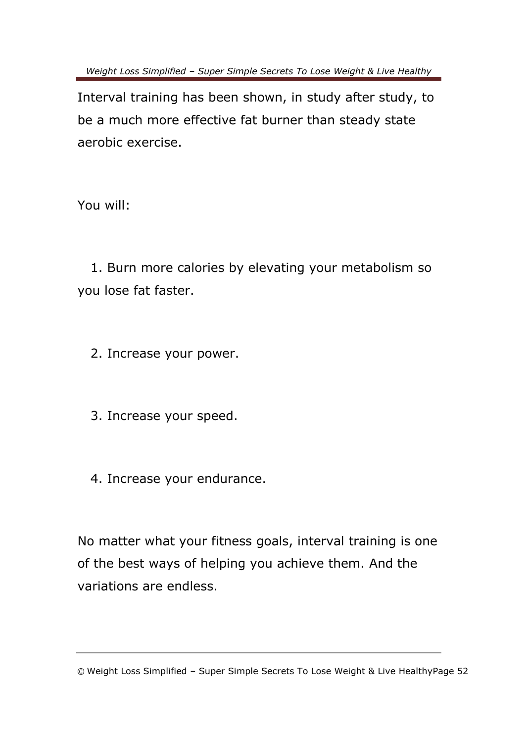Interval training has been shown, in study after study, to be a much more effective fat burner than steady state aerobic exercise.

You will:

 1. Burn more calories by elevating your metabolism so you lose fat faster.

2. Increase your power.

3. Increase your speed.

4. Increase your endurance.

No matter what your fitness goals, interval training is one of the best ways of helping you achieve them. And the variations are endless.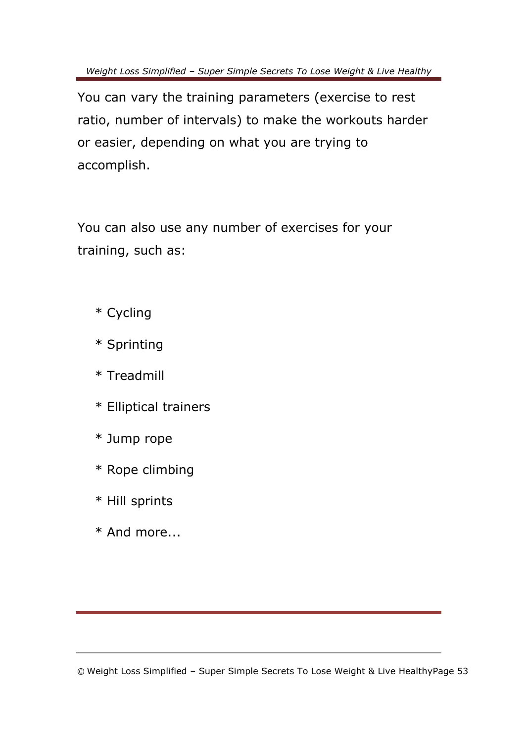You can vary the training parameters (exercise to rest ratio, number of intervals) to make the workouts harder or easier, depending on what you are trying to accomplish.

You can also use any number of exercises for your training, such as:

- \* Cycling
- \* Sprinting
- \* Treadmill
- \* Elliptical trainers
- \* Jump rope
- \* Rope climbing
- \* Hill sprints
- \* And more...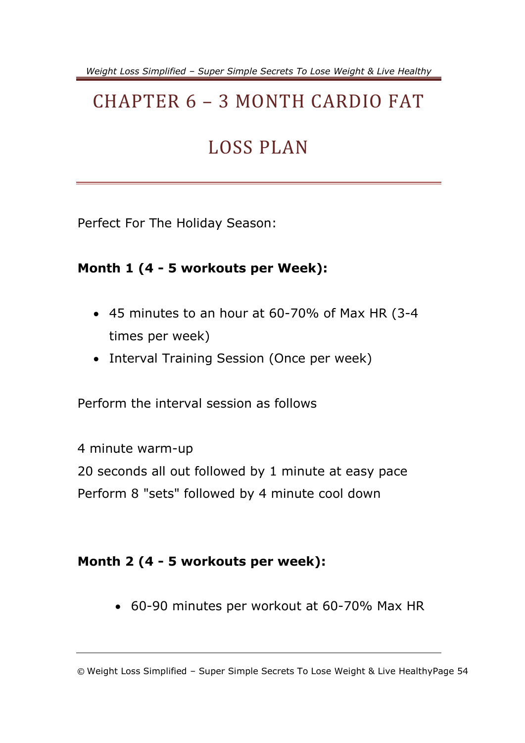### <span id="page-56-0"></span>CHAPTER 6 – 3 MONTH CARDIO FAT

### LOSS PLAN

Perfect For The Holiday Season:

#### **Month 1 (4 - 5 workouts per Week):**

- 45 minutes to an hour at 60-70% of Max HR (3-4 times per week)
- Interval Training Session (Once per week)

Perform the interval session as follows

4 minute warm-up 20 seconds all out followed by 1 minute at easy pace Perform 8 "sets" followed by 4 minute cool down

#### **Month 2 (4 - 5 workouts per week):**

60-90 minutes per workout at 60-70% Max HR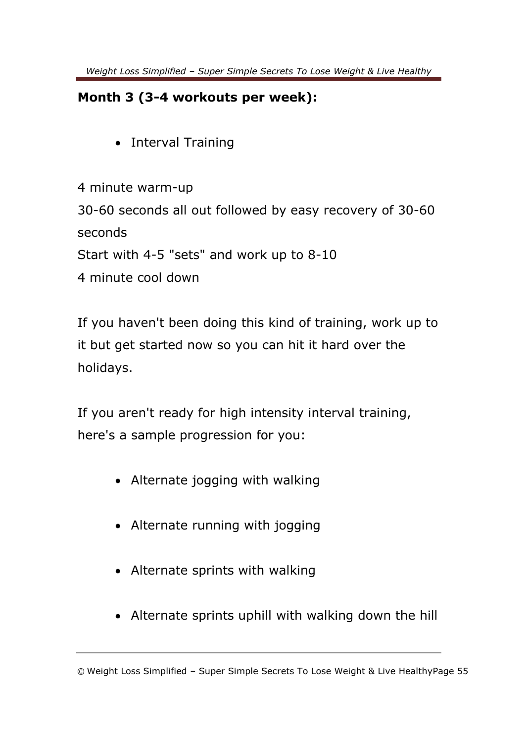#### **Month 3 (3-4 workouts per week):**

• Interval Training

4 minute warm-up 30-60 seconds all out followed by easy recovery of 30-60 seconds Start with 4-5 "sets" and work up to 8-10 4 minute cool down

If you haven't been doing this kind of training, work up to it but get started now so you can hit it hard over the holidays.

If you aren't ready for high intensity interval training, here's a sample progression for you:

- Alternate jogging with walking
- Alternate running with jogging
- Alternate sprints with walking
- Alternate sprints uphill with walking down the hill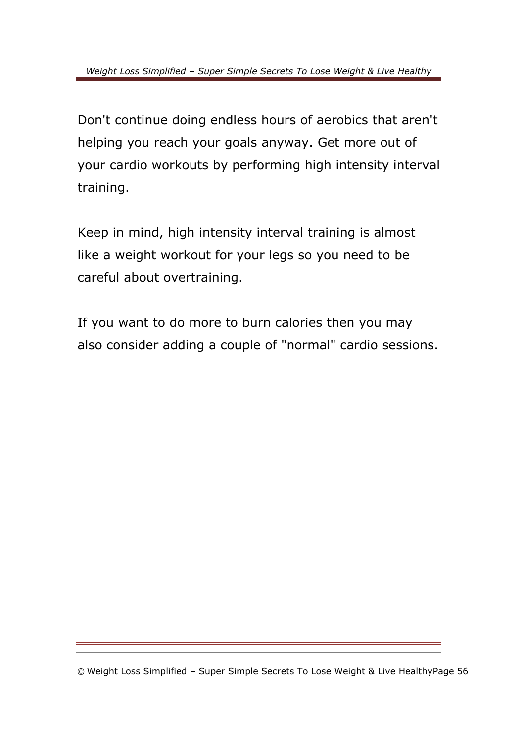Don't continue doing endless hours of aerobics that aren't helping you reach your goals anyway. Get more out of your cardio workouts by performing high intensity interval training.

Keep in mind, high intensity interval training is almost like a weight workout for your legs so you need to be careful about overtraining.

If you want to do more to burn calories then you may also consider adding a couple of "normal" cardio sessions.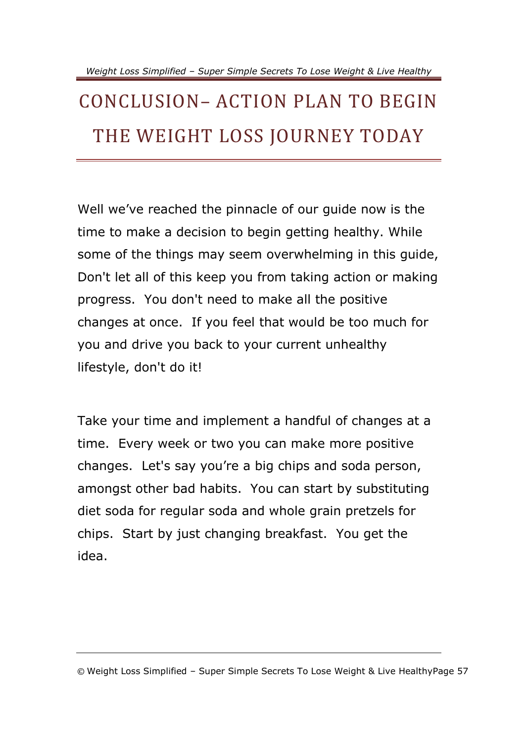## <span id="page-59-0"></span>CONCLUSION– ACTION PLAN TO BEGIN THE WEIGHT LOSS JOURNEY TODAY

Well we've reached the pinnacle of our guide now is the time to make a decision to begin getting healthy. While some of the things may seem overwhelming in this guide, Don't let all of this keep you from taking action or making progress. You don't need to make all the positive changes at once. If you feel that would be too much for you and drive you back to your current unhealthy lifestyle, don't do it!

Take your time and implement a handful of changes at a time. Every week or two you can make more positive changes. Let's say you're a big chips and soda person, amongst other bad habits. You can start by substituting diet soda for regular soda and whole grain pretzels for chips. Start by just changing breakfast. You get the idea.